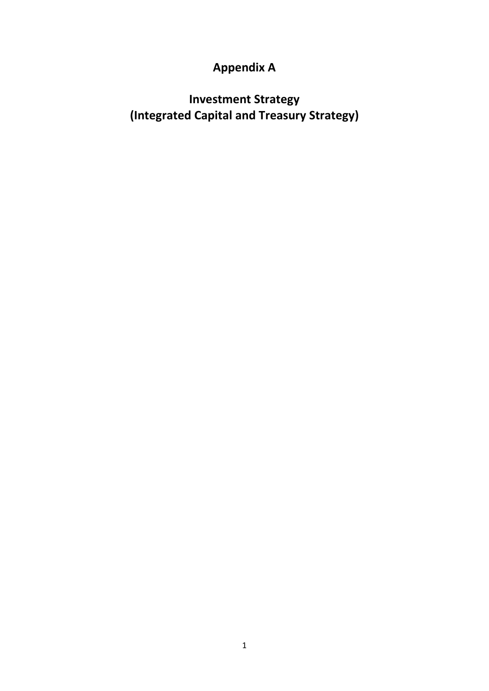# **Appendix A**

**Investment Strategy (Integrated Capital and Treasury Strategy)**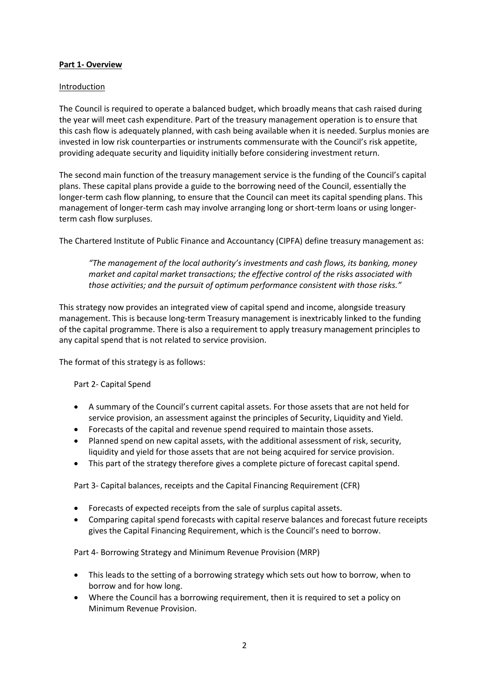# **Part 1- Overview**

# Introduction

The Council is required to operate a balanced budget, which broadly means that cash raised during the year will meet cash expenditure. Part of the treasury management operation is to ensure that this cash flow is adequately planned, with cash being available when it is needed. Surplus monies are invested in low risk counterparties or instruments commensurate with the Council's risk appetite, providing adequate security and liquidity initially before considering investment return.

The second main function of the treasury management service is the funding of the Council's capital plans. These capital plans provide a guide to the borrowing need of the Council, essentially the longer-term cash flow planning, to ensure that the Council can meet its capital spending plans. This management of longer-term cash may involve arranging long or short-term loans or using longerterm cash flow surpluses.

The Chartered Institute of Public Finance and Accountancy (CIPFA) define treasury management as:

*"The management of the local authority's investments and cash flows, its banking, money market and capital market transactions; the effective control of the risks associated with those activities; and the pursuit of optimum performance consistent with those risks."*

This strategy now provides an integrated view of capital spend and income, alongside treasury management. This is because long-term Treasury management is inextricably linked to the funding of the capital programme. There is also a requirement to apply treasury management principles to any capital spend that is not related to service provision.

The format of this strategy is as follows:

# Part 2- Capital Spend

- A summary of the Council's current capital assets. For those assets that are not held for service provision, an assessment against the principles of Security, Liquidity and Yield.
- Forecasts of the capital and revenue spend required to maintain those assets.
- Planned spend on new capital assets, with the additional assessment of risk, security, liquidity and yield for those assets that are not being acquired for service provision.
- This part of the strategy therefore gives a complete picture of forecast capital spend.

Part 3- Capital balances, receipts and the Capital Financing Requirement (CFR)

- Forecasts of expected receipts from the sale of surplus capital assets.
- Comparing capital spend forecasts with capital reserve balances and forecast future receipts gives the Capital Financing Requirement, which is the Council's need to borrow.

Part 4- Borrowing Strategy and Minimum Revenue Provision (MRP)

- This leads to the setting of a borrowing strategy which sets out how to borrow, when to borrow and for how long.
- Where the Council has a borrowing requirement, then it is required to set a policy on Minimum Revenue Provision.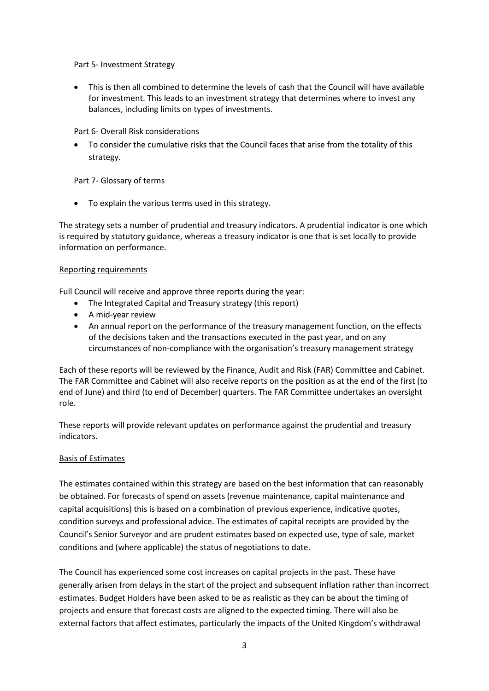# Part 5- Investment Strategy

 This is then all combined to determine the levels of cash that the Council will have available for investment. This leads to an investment strategy that determines where to invest any balances, including limits on types of investments.

# Part 6- Overall Risk considerations

 To consider the cumulative risks that the Council faces that arise from the totality of this strategy.

# Part 7- Glossary of terms

• To explain the various terms used in this strategy.

The strategy sets a number of prudential and treasury indicators. A prudential indicator is one which is required by statutory guidance, whereas a treasury indicator is one that is set locally to provide information on performance.

# Reporting requirements

Full Council will receive and approve three reports during the year:

- The Integrated Capital and Treasury strategy (this report)
- A mid-year review
- An annual report on the performance of the treasury management function, on the effects of the decisions taken and the transactions executed in the past year, and on any circumstances of non-compliance with the organisation's treasury management strategy

Each of these reports will be reviewed by the Finance, Audit and Risk (FAR) Committee and Cabinet. The FAR Committee and Cabinet will also receive reports on the position as at the end of the first (to end of June) and third (to end of December) quarters. The FAR Committee undertakes an oversight role.

These reports will provide relevant updates on performance against the prudential and treasury indicators.

# Basis of Estimates

The estimates contained within this strategy are based on the best information that can reasonably be obtained. For forecasts of spend on assets (revenue maintenance, capital maintenance and capital acquisitions) this is based on a combination of previous experience, indicative quotes, condition surveys and professional advice. The estimates of capital receipts are provided by the Council's Senior Surveyor and are prudent estimates based on expected use, type of sale, market conditions and (where applicable) the status of negotiations to date.

The Council has experienced some cost increases on capital projects in the past. These have generally arisen from delays in the start of the project and subsequent inflation rather than incorrect estimates. Budget Holders have been asked to be as realistic as they can be about the timing of projects and ensure that forecast costs are aligned to the expected timing. There will also be external factors that affect estimates, particularly the impacts of the United Kingdom's withdrawal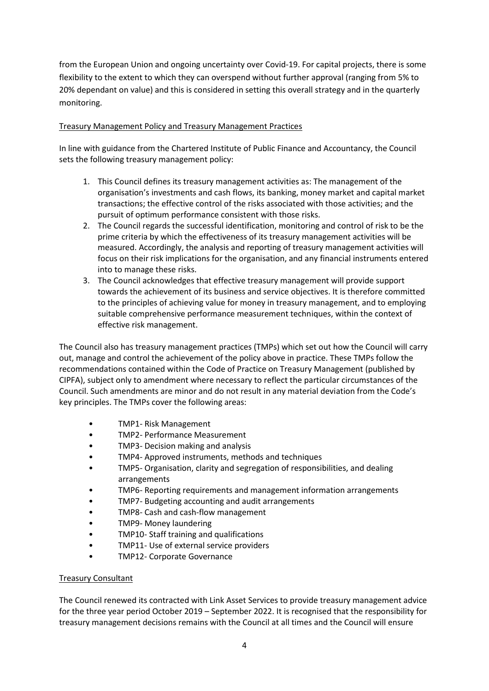from the European Union and ongoing uncertainty over Covid-19. For capital projects, there is some flexibility to the extent to which they can overspend without further approval (ranging from 5% to 20% dependant on value) and this is considered in setting this overall strategy and in the quarterly monitoring.

# Treasury Management Policy and Treasury Management Practices

In line with guidance from the Chartered Institute of Public Finance and Accountancy, the Council sets the following treasury management policy:

- 1. This Council defines its treasury management activities as: The management of the organisation's investments and cash flows, its banking, money market and capital market transactions; the effective control of the risks associated with those activities; and the pursuit of optimum performance consistent with those risks.
- 2. The Council regards the successful identification, monitoring and control of risk to be the prime criteria by which the effectiveness of its treasury management activities will be measured. Accordingly, the analysis and reporting of treasury management activities will focus on their risk implications for the organisation, and any financial instruments entered into to manage these risks.
- 3. The Council acknowledges that effective treasury management will provide support towards the achievement of its business and service objectives. It is therefore committed to the principles of achieving value for money in treasury management, and to employing suitable comprehensive performance measurement techniques, within the context of effective risk management.

The Council also has treasury management practices (TMPs) which set out how the Council will carry out, manage and control the achievement of the policy above in practice. These TMPs follow the recommendations contained within the Code of Practice on Treasury Management (published by CIPFA), subject only to amendment where necessary to reflect the particular circumstances of the Council. Such amendments are minor and do not result in any material deviation from the Code's key principles. The TMPs cover the following areas:

- TMP1- Risk Management
- TMP2- Performance Measurement
- TMP3- Decision making and analysis
- TMP4- Approved instruments, methods and techniques
- TMP5- Organisation, clarity and segregation of responsibilities, and dealing arrangements
- TMP6- Reporting requirements and management information arrangements
- TMP7- Budgeting accounting and audit arrangements
- TMP8- Cash and cash-flow management
- TMP9- Money laundering
- TMP10- Staff training and qualifications
- TMP11- Use of external service providers
- TMP12- Corporate Governance

# Treasury Consultant

The Council renewed its contracted with Link Asset Services to provide treasury management advice for the three year period October 2019 – September 2022. It is recognised that the responsibility for treasury management decisions remains with the Council at all times and the Council will ensure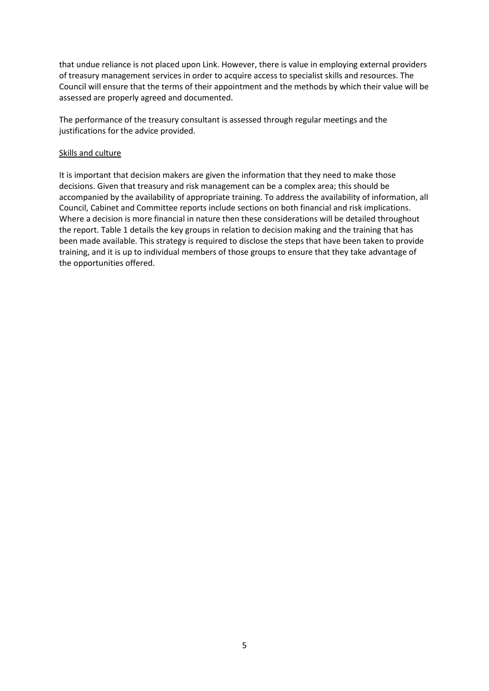that undue reliance is not placed upon Link. However, there is value in employing external providers of treasury management services in order to acquire access to specialist skills and resources. The Council will ensure that the terms of their appointment and the methods by which their value will be assessed are properly agreed and documented.

The performance of the treasury consultant is assessed through regular meetings and the justifications for the advice provided.

#### Skills and culture

It is important that decision makers are given the information that they need to make those decisions. Given that treasury and risk management can be a complex area; this should be accompanied by the availability of appropriate training. To address the availability of information, all Council, Cabinet and Committee reports include sections on both financial and risk implications. Where a decision is more financial in nature then these considerations will be detailed throughout the report. Table 1 details the key groups in relation to decision making and the training that has been made available. This strategy is required to disclose the steps that have been taken to provide training, and it is up to individual members of those groups to ensure that they take advantage of the opportunities offered.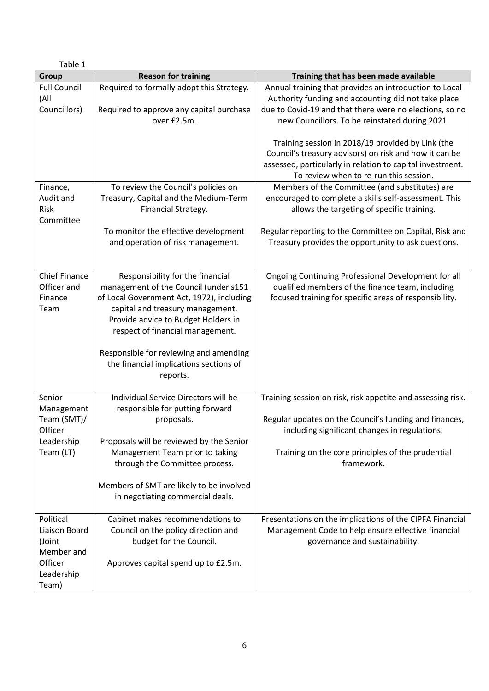| Table 1                                                                              |                                                                                                                                                                                                                                                                                                                                       |                                                                                                                                                                                                                                           |
|--------------------------------------------------------------------------------------|---------------------------------------------------------------------------------------------------------------------------------------------------------------------------------------------------------------------------------------------------------------------------------------------------------------------------------------|-------------------------------------------------------------------------------------------------------------------------------------------------------------------------------------------------------------------------------------------|
| Group                                                                                | <b>Reason for training</b>                                                                                                                                                                                                                                                                                                            | Training that has been made available                                                                                                                                                                                                     |
| <b>Full Council</b><br>(All<br>Councillors)                                          | Required to formally adopt this Strategy.<br>Required to approve any capital purchase<br>over £2.5m.                                                                                                                                                                                                                                  | Annual training that provides an introduction to Local<br>Authority funding and accounting did not take place<br>due to Covid-19 and that there were no elections, so no<br>new Councillors. To be reinstated during 2021.                |
|                                                                                      |                                                                                                                                                                                                                                                                                                                                       | Training session in 2018/19 provided by Link (the<br>Council's treasury advisors) on risk and how it can be<br>assessed, particularly in relation to capital investment.<br>To review when to re-run this session.                        |
| Finance,<br>Audit and<br>Risk<br>Committee                                           | To review the Council's policies on<br>Treasury, Capital and the Medium-Term<br>Financial Strategy.                                                                                                                                                                                                                                   | Members of the Committee (and substitutes) are<br>encouraged to complete a skills self-assessment. This<br>allows the targeting of specific training.                                                                                     |
|                                                                                      | To monitor the effective development<br>and operation of risk management.                                                                                                                                                                                                                                                             | Regular reporting to the Committee on Capital, Risk and<br>Treasury provides the opportunity to ask questions.                                                                                                                            |
| <b>Chief Finance</b><br>Officer and<br>Finance<br>Team                               | Responsibility for the financial<br>management of the Council (under s151<br>of Local Government Act, 1972), including<br>capital and treasury management.<br>Provide advice to Budget Holders in<br>respect of financial management.<br>Responsible for reviewing and amending<br>the financial implications sections of<br>reports. | Ongoing Continuing Professional Development for all<br>qualified members of the finance team, including<br>focused training for specific areas of responsibility.                                                                         |
| Senior<br>Management<br>Team (SMT)/<br>Officer<br>Leadership<br>Team (LT)            | Individual Service Directors will be<br>responsible for putting forward<br>proposals.<br>Proposals will be reviewed by the Senior<br>Management Team prior to taking<br>through the Committee process.<br>Members of SMT are likely to be involved<br>in negotiating commercial deals.                                                | Training session on risk, risk appetite and assessing risk.<br>Regular updates on the Council's funding and finances,<br>including significant changes in regulations.<br>Training on the core principles of the prudential<br>framework. |
| Political<br>Liaison Board<br>(Joint<br>Member and<br>Officer<br>Leadership<br>Team) | Cabinet makes recommendations to<br>Council on the policy direction and<br>budget for the Council.<br>Approves capital spend up to £2.5m.                                                                                                                                                                                             | Presentations on the implications of the CIPFA Financial<br>Management Code to help ensure effective financial<br>governance and sustainability.                                                                                          |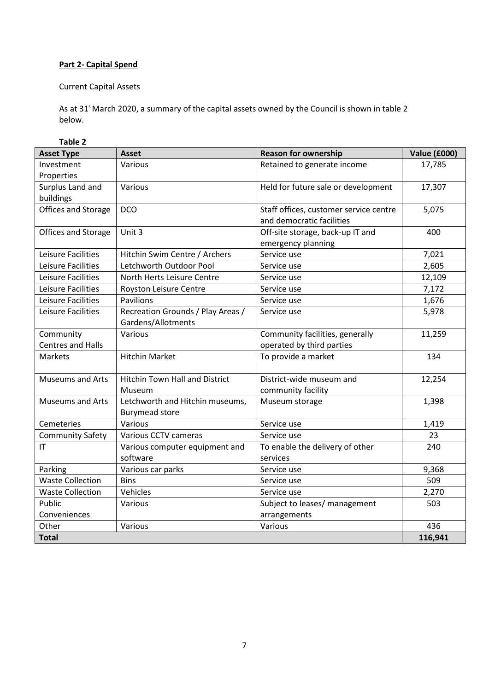# **Part 2- Capital Spend**

# Current Capital Assets

As at 31<sup>s</sup> March 2020, a summary of the capital assets owned by the Council is shown in table 2 below.

| Table 2                  |                                       |                                        |                     |
|--------------------------|---------------------------------------|----------------------------------------|---------------------|
| <b>Asset Type</b>        | <b>Asset</b>                          | <b>Reason for ownership</b>            | <b>Value (£000)</b> |
| Investment               | Various                               | Retained to generate income            | 17,785              |
| Properties               |                                       |                                        |                     |
| Surplus Land and         | Various                               | Held for future sale or development    | 17,307              |
| buildings                |                                       |                                        |                     |
| Offices and Storage      | <b>DCO</b>                            | Staff offices, customer service centre | 5,075               |
|                          |                                       | and democratic facilities              |                     |
| Offices and Storage      | Unit 3                                | Off-site storage, back-up IT and       | 400                 |
|                          |                                       | emergency planning                     |                     |
| Leisure Facilities       | Hitchin Swim Centre / Archers         | Service use                            | 7,021               |
| Leisure Facilities       | Letchworth Outdoor Pool               | Service use                            | 2,605               |
| Leisure Facilities       | North Herts Leisure Centre            | Service use                            | 12,109              |
| Leisure Facilities       | Royston Leisure Centre                | Service use                            | 7,172               |
| Leisure Facilities       | <b>Pavilions</b>                      | Service use                            | 1,676               |
| Leisure Facilities       | Recreation Grounds / Play Areas /     | Service use                            | 5,978               |
|                          | Gardens/Allotments                    |                                        |                     |
| Community                | Various                               | Community facilities, generally        | 11,259              |
| <b>Centres and Halls</b> |                                       | operated by third parties              |                     |
| Markets                  | <b>Hitchin Market</b>                 | To provide a market                    | 134                 |
|                          |                                       |                                        |                     |
| <b>Museums and Arts</b>  | <b>Hitchin Town Hall and District</b> | District-wide museum and               | 12,254              |
|                          | Museum                                | community facility                     |                     |
| <b>Museums and Arts</b>  | Letchworth and Hitchin museums,       | Museum storage                         | 1,398               |
|                          | <b>Burymead store</b>                 |                                        |                     |
| Cemeteries               | Various                               | Service use                            | 1,419               |
| <b>Community Safety</b>  | Various CCTV cameras                  | Service use                            | 23                  |
| $\mathsf{I}\mathsf{T}$   | Various computer equipment and        | To enable the delivery of other        | 240                 |
|                          | software                              | services                               |                     |
| Parking                  | Various car parks                     | Service use                            | 9,368               |
| <b>Waste Collection</b>  | <b>Bins</b>                           | Service use                            | 509                 |
| <b>Waste Collection</b>  | Vehicles                              | Service use                            | 2,270               |
| Public                   | Various                               | Subject to leases/ management          | 503                 |
| Conveniences             |                                       | arrangements                           |                     |
| Other                    | Various                               | Various                                | 436                 |
| <b>Total</b>             |                                       |                                        | 116,941             |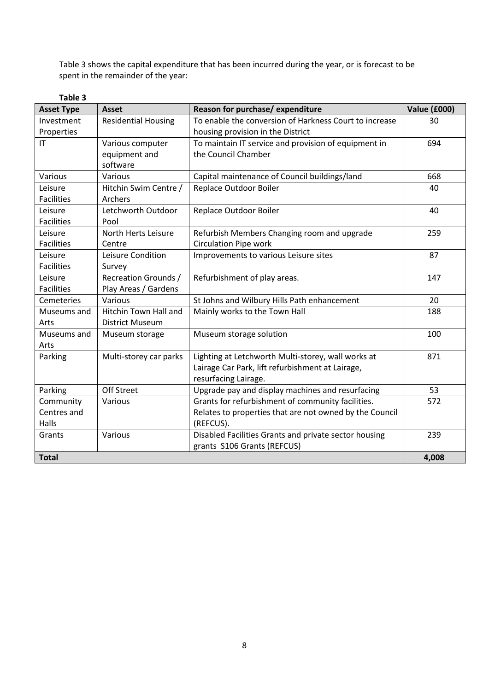Table 3 shows the capital expenditure that has been incurred during the year, or is forecast to be spent in the remainder of the year:

| Table 3           |                             |                                                         |                     |
|-------------------|-----------------------------|---------------------------------------------------------|---------------------|
| <b>Asset Type</b> | <b>Asset</b>                | Reason for purchase/expenditure                         | <b>Value (£000)</b> |
| Investment        | <b>Residential Housing</b>  | To enable the conversion of Harkness Court to increase  | 30                  |
| Properties        |                             | housing provision in the District                       |                     |
| IT                | Various computer            | To maintain IT service and provision of equipment in    | 694                 |
|                   | equipment and<br>software   | the Council Chamber                                     |                     |
| Various           | Various                     | Capital maintenance of Council buildings/land           | 668                 |
| Leisure           | Hitchin Swim Centre /       | Replace Outdoor Boiler                                  | 40                  |
| <b>Facilities</b> | <b>Archers</b>              |                                                         |                     |
| Leisure           | Letchworth Outdoor          | Replace Outdoor Boiler                                  | 40                  |
| <b>Facilities</b> | Pool                        |                                                         |                     |
| Leisure           | North Herts Leisure         | Refurbish Members Changing room and upgrade             | 259                 |
| <b>Facilities</b> | Centre                      | <b>Circulation Pipe work</b>                            |                     |
| Leisure           | Leisure Condition           | Improvements to various Leisure sites                   | 87                  |
| <b>Facilities</b> | Survey                      |                                                         |                     |
| Leisure           | <b>Recreation Grounds /</b> | Refurbishment of play areas.                            | 147                 |
| <b>Facilities</b> | Play Areas / Gardens        |                                                         |                     |
| Cemeteries        | Various                     | St Johns and Wilbury Hills Path enhancement             | 20                  |
| Museums and       | Hitchin Town Hall and       | Mainly works to the Town Hall                           | 188                 |
| Arts              | <b>District Museum</b>      |                                                         |                     |
| Museums and       | Museum storage              | Museum storage solution                                 | 100                 |
| Arts              |                             |                                                         |                     |
| Parking           | Multi-storey car parks      | Lighting at Letchworth Multi-storey, wall works at      | 871                 |
|                   |                             | Lairage Car Park, lift refurbishment at Lairage,        |                     |
|                   |                             | resurfacing Lairage.                                    |                     |
| Parking           | Off Street                  | Upgrade pay and display machines and resurfacing        | 53                  |
| Community         | Various                     | Grants for refurbishment of community facilities.       | 572                 |
| Centres and       |                             | Relates to properties that are not owned by the Council |                     |
| Halls             |                             | (REFCUS).                                               |                     |
| Grants            | Various                     | Disabled Facilities Grants and private sector housing   | 239                 |
|                   |                             | grants S106 Grants (REFCUS)                             |                     |
| <b>Total</b>      |                             |                                                         | 4,008               |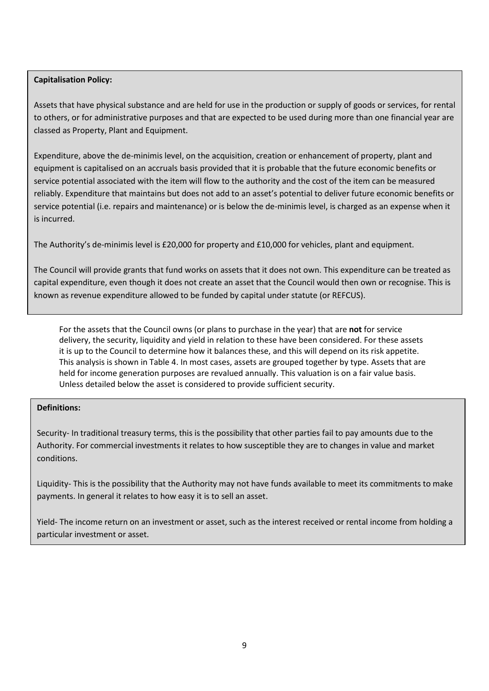# **Capitalisation Policy:**

Assets that have physical substance and are held for use in the production or supply of goods or services, for rental to others, or for administrative purposes and that are expected to be used during more than one financial year are classed as Property, Plant and Equipment.

Expenditure, above the de-minimis level, on the acquisition, creation or enhancement of property, plant and equipment is capitalised on an accruals basis provided that it is probable that the future economic benefits or service potential associated with the item will flow to the authority and the cost of the item can be measured reliably. Expenditure that maintains but does not add to an asset's potential to deliver future economic benefits or service potential (i.e. repairs and maintenance) or is below the de-minimis level, is charged as an expense when it is incurred.

The Authority's de-minimis level is £20,000 for property and £10,000 for vehicles, plant and equipment.

The Council will provide grants that fund works on assets that it does not own. This expenditure can be treated as capital expenditure, even though it does not create an asset that the Council would then own or recognise. This is known as revenue expenditure allowed to be funded by capital under statute (or REFCUS).

For the assets that the Council owns (or plans to purchase in the year) that are **not** for service delivery, the security, liquidity and yield in relation to these have been considered. For these assets it is up to the Council to determine how it balances these, and this will depend on its risk appetite. This analysis is shown in Table 4. In most cases, assets are grouped together by type. Assets that are held for income generation purposes are revalued annually. This valuation is on a fair value basis. Unless detailed below the asset is considered to provide sufficient security.

# **Definitions:**

Security- In traditional treasury terms, this is the possibility that other parties fail to pay amounts due to the Authority. For commercial investments it relates to how susceptible they are to changes in value and market conditions.

Liquidity- This is the possibility that the Authority may not have funds available to meet its commitments to make payments. In general it relates to how easy it is to sell an asset.

Yield- The income return on an investment or asset, such as the interest received or rental income from holding a particular investment or asset.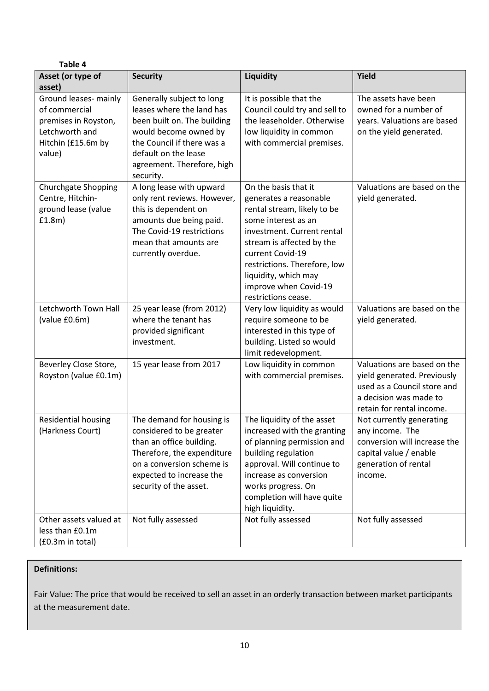| Table 4                                                                                                          |                                                                                                                                                                                                                 |                                                                                                                                                                                                                                                                                             |                                                                                                                                                  |
|------------------------------------------------------------------------------------------------------------------|-----------------------------------------------------------------------------------------------------------------------------------------------------------------------------------------------------------------|---------------------------------------------------------------------------------------------------------------------------------------------------------------------------------------------------------------------------------------------------------------------------------------------|--------------------------------------------------------------------------------------------------------------------------------------------------|
| Asset (or type of                                                                                                | <b>Security</b>                                                                                                                                                                                                 | Liquidity                                                                                                                                                                                                                                                                                   | Yield                                                                                                                                            |
| asset)                                                                                                           |                                                                                                                                                                                                                 |                                                                                                                                                                                                                                                                                             |                                                                                                                                                  |
| Ground leases- mainly<br>of commercial<br>premises in Royston,<br>Letchworth and<br>Hitchin (£15.6m by<br>value) | Generally subject to long<br>leases where the land has<br>been built on. The building<br>would become owned by<br>the Council if there was a<br>default on the lease<br>agreement. Therefore, high<br>security. | It is possible that the<br>Council could try and sell to<br>the leaseholder. Otherwise<br>low liquidity in common<br>with commercial premises.                                                                                                                                              | The assets have been<br>owned for a number of<br>years. Valuations are based<br>on the yield generated.                                          |
| Churchgate Shopping<br>Centre, Hitchin-<br>ground lease (value<br>f1.8m)                                         | A long lease with upward<br>only rent reviews. However,<br>this is dependent on<br>amounts due being paid.<br>The Covid-19 restrictions<br>mean that amounts are<br>currently overdue.                          | On the basis that it<br>generates a reasonable<br>rental stream, likely to be<br>some interest as an<br>investment. Current rental<br>stream is affected by the<br>current Covid-19<br>restrictions. Therefore, low<br>liquidity, which may<br>improve when Covid-19<br>restrictions cease. | Valuations are based on the<br>yield generated.                                                                                                  |
| Letchworth Town Hall<br>(value £0.6m)                                                                            | 25 year lease (from 2012)<br>where the tenant has<br>provided significant<br>investment.                                                                                                                        | Very low liquidity as would<br>require someone to be<br>interested in this type of<br>building. Listed so would<br>limit redevelopment.                                                                                                                                                     | Valuations are based on the<br>yield generated.                                                                                                  |
| Beverley Close Store,<br>Royston (value £0.1m)                                                                   | 15 year lease from 2017                                                                                                                                                                                         | Low liquidity in common<br>with commercial premises.                                                                                                                                                                                                                                        | Valuations are based on the<br>yield generated. Previously<br>used as a Council store and<br>a decision was made to<br>retain for rental income. |
| <b>Residential housing</b><br>(Harkness Court)                                                                   | The demand for housing is<br>considered to be greater<br>than an office building.<br>Therefore, the expenditure<br>on a conversion scheme is<br>expected to increase the<br>security of the asset.              | The liquidity of the asset<br>increased with the granting<br>of planning permission and<br>building regulation<br>approval. Will continue to<br>increase as conversion<br>works progress. On<br>completion will have quite<br>high liquidity.                                               | Not currently generating<br>any income. The<br>conversion will increase the<br>capital value / enable<br>generation of rental<br>income.         |
| Other assets valued at<br>less than £0.1m<br>(£0.3m in total)                                                    | Not fully assessed                                                                                                                                                                                              | Not fully assessed                                                                                                                                                                                                                                                                          | Not fully assessed                                                                                                                               |

# **Definitions:**

Fair Value: The price that would be received to sell an asset in an orderly transaction between market participants at the measurement date.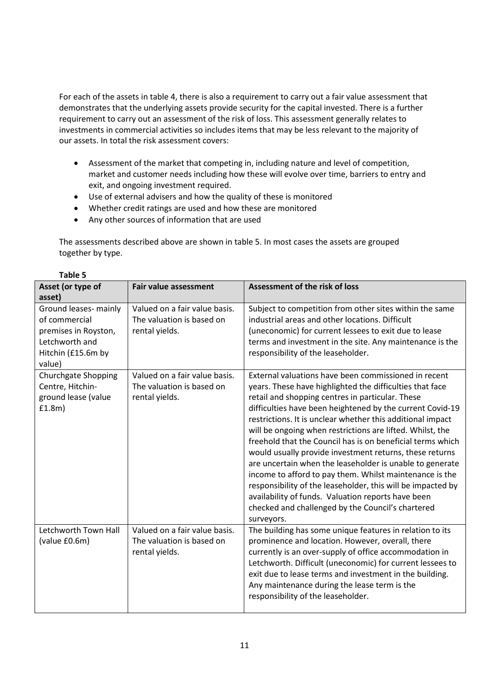For each of the assets in table 4, there is also a requirement to carry out a fair value assessment that demonstrates that the underlying assets provide security for the capital invested. There is a further requirement to carry out an assessment of the risk of loss. This assessment generally relates to investments in commercial activities so includes items that may be less relevant to the majority of our assets. In total the risk assessment covers:

- Assessment of the market that competing in, including nature and level of competition, market and customer needs including how these will evolve over time, barriers to entry and exit, and ongoing investment required.
- Use of external advisers and how the quality of these is monitored
- Whether credit ratings are used and how these are monitored
- Any other sources of information that are used

The assessments described above are shown in table 5. In most cases the assets are grouped together by type.

| Asset (or type of<br>asset)                                                                                      | <b>Fair value assessment</b>                                                 | Assessment of the risk of loss                                                                                                                                                                                                                                                                                                                                                                                                                                                                                                                                                                                                                                                                                                                                                                       |
|------------------------------------------------------------------------------------------------------------------|------------------------------------------------------------------------------|------------------------------------------------------------------------------------------------------------------------------------------------------------------------------------------------------------------------------------------------------------------------------------------------------------------------------------------------------------------------------------------------------------------------------------------------------------------------------------------------------------------------------------------------------------------------------------------------------------------------------------------------------------------------------------------------------------------------------------------------------------------------------------------------------|
| Ground leases- mainly<br>of commercial<br>premises in Royston,<br>Letchworth and<br>Hitchin (£15.6m by<br>value) | Valued on a fair value basis.<br>The valuation is based on<br>rental yields. | Subject to competition from other sites within the same<br>industrial areas and other locations. Difficult<br>(uneconomic) for current lessees to exit due to lease<br>terms and investment in the site. Any maintenance is the<br>responsibility of the leaseholder.                                                                                                                                                                                                                                                                                                                                                                                                                                                                                                                                |
| <b>Churchgate Shopping</b><br>Centre, Hitchin-<br>ground lease (value<br>f1.8m)                                  | Valued on a fair value basis.<br>The valuation is based on<br>rental yields. | External valuations have been commissioned in recent<br>years. These have highlighted the difficulties that face<br>retail and shopping centres in particular. These<br>difficulties have been heightened by the current Covid-19<br>restrictions. It is unclear whether this additional impact<br>will be ongoing when restrictions are lifted. Whilst, the<br>freehold that the Council has is on beneficial terms which<br>would usually provide investment returns, these returns<br>are uncertain when the leaseholder is unable to generate<br>income to afford to pay them. Whilst maintenance is the<br>responsibility of the leaseholder, this will be impacted by<br>availability of funds. Valuation reports have been<br>checked and challenged by the Council's chartered<br>surveyors. |
| Letchworth Town Hall<br>(value £0.6m)                                                                            | Valued on a fair value basis.<br>The valuation is based on<br>rental yields. | The building has some unique features in relation to its<br>prominence and location. However, overall, there<br>currently is an over-supply of office accommodation in<br>Letchworth. Difficult (uneconomic) for current lessees to<br>exit due to lease terms and investment in the building.<br>Any maintenance during the lease term is the<br>responsibility of the leaseholder.                                                                                                                                                                                                                                                                                                                                                                                                                 |

| <b>Table</b> |  |
|--------------|--|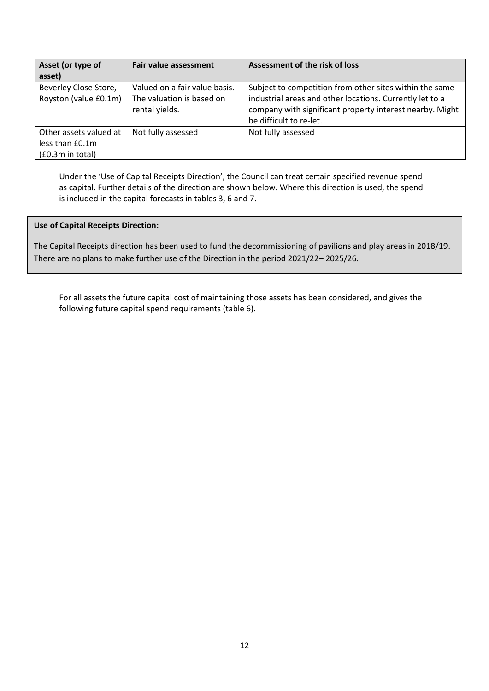| Asset (or type of      | <b>Fair value assessment</b>  | Assessment of the risk of loss                           |
|------------------------|-------------------------------|----------------------------------------------------------|
| asset)                 |                               |                                                          |
| Beverley Close Store,  | Valued on a fair value basis. | Subject to competition from other sites within the same  |
| Royston (value £0.1m)  | The valuation is based on     | industrial areas and other locations. Currently let to a |
|                        | rental yields.                | company with significant property interest nearby. Might |
|                        |                               | be difficult to re-let.                                  |
| Other assets valued at | Not fully assessed            | Not fully assessed                                       |
| less than £0.1m        |                               |                                                          |
| (£0.3m in total)       |                               |                                                          |

Under the 'Use of Capital Receipts Direction', the Council can treat certain specified revenue spend as capital. Further details of the direction are shown below. Where this direction is used, the spend is included in the capital forecasts in tables 3, 6 and 7.

# **Use of Capital Receipts Direction:**

. There are no plans to make further use of the Direction in the period 2021/22– 2025/26.The Capital Receipts direction has been used to fund the decommissioning of pavilions and play areas in 2018/19.

For all assets the future capital cost of maintaining those assets has been considered, and gives the following future capital spend requirements (table 6).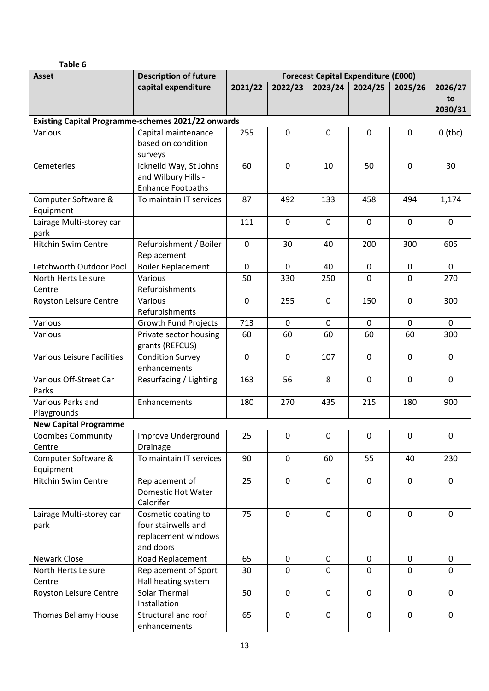| ıhl<br>ıρ<br>а |
|----------------|
|----------------|

| <b>Asset</b>                      | <b>Description of future</b>                              | <b>Forecast Capital Expenditure (£000)</b> |             |             |             |             |             |  |
|-----------------------------------|-----------------------------------------------------------|--------------------------------------------|-------------|-------------|-------------|-------------|-------------|--|
|                                   | capital expenditure                                       | 2021/22                                    | 2022/23     | 2023/24     | 2024/25     | 2025/26     | 2026/27     |  |
|                                   |                                                           |                                            |             |             |             |             | to          |  |
|                                   |                                                           |                                            |             |             |             |             | 2030/31     |  |
|                                   | <b>Existing Capital Programme-schemes 2021/22 onwards</b> |                                            |             |             |             |             |             |  |
| Various                           | Capital maintenance                                       | 255                                        | 0           | 0           | $\mathbf 0$ | 0           | $0$ (tbc)   |  |
|                                   | based on condition                                        |                                            |             |             |             |             |             |  |
|                                   | surveys                                                   |                                            |             |             |             |             |             |  |
| Cemeteries                        | Ickneild Way, St Johns                                    | 60                                         | 0           | 10          | 50          | 0           | 30          |  |
|                                   | and Wilbury Hills -                                       |                                            |             |             |             |             |             |  |
| Computer Software &               | <b>Enhance Footpaths</b><br>To maintain IT services       | 87                                         | 492         | 133         | 458         | 494         |             |  |
| Equipment                         |                                                           |                                            |             |             |             |             | 1,174       |  |
| Lairage Multi-storey car          |                                                           | 111                                        | $\mathbf 0$ | $\mathbf 0$ | $\mathbf 0$ | $\mathbf 0$ | $\mathbf 0$ |  |
| park                              |                                                           |                                            |             |             |             |             |             |  |
| <b>Hitchin Swim Centre</b>        | Refurbishment / Boiler                                    | $\mathbf 0$                                | 30          | 40          | 200         | 300         | 605         |  |
|                                   | Replacement                                               |                                            |             |             |             |             |             |  |
| Letchworth Outdoor Pool           | <b>Boiler Replacement</b>                                 | 0                                          | 0           | 40          | 0           | 0           | 0           |  |
| North Herts Leisure               | Various                                                   | 50                                         | 330         | 250         | $\Omega$    | 0           | 270         |  |
| Centre                            | Refurbishments                                            |                                            |             |             |             |             |             |  |
| Royston Leisure Centre            | Various                                                   | $\mathbf 0$                                | 255         | $\mathbf 0$ | 150         | $\mathbf 0$ | 300         |  |
|                                   | Refurbishments                                            |                                            |             |             |             |             |             |  |
| Various                           | <b>Growth Fund Projects</b>                               | 713                                        | 0           | 0           | 0           | 0           | 0           |  |
| Various                           | Private sector housing                                    | 60                                         | 60          | 60          | 60          | 60          | 300         |  |
|                                   | grants (REFCUS)                                           |                                            |             |             |             |             |             |  |
| <b>Various Leisure Facilities</b> | <b>Condition Survey</b>                                   | $\mathbf 0$                                | $\mathbf 0$ | 107         | $\mathbf 0$ | $\mathbf 0$ | 0           |  |
|                                   | enhancements                                              |                                            |             |             |             |             |             |  |
| Various Off-Street Car            | Resurfacing / Lighting                                    | 163                                        | 56          | 8           | $\mathbf 0$ | $\mathbf 0$ | 0           |  |
| Parks                             |                                                           |                                            |             |             |             |             |             |  |
| Various Parks and                 | Enhancements                                              | 180                                        | 270         | 435         | 215         | 180         | 900         |  |
| Playgrounds                       |                                                           |                                            |             |             |             |             |             |  |
| <b>New Capital Programme</b>      |                                                           |                                            |             |             |             |             |             |  |
| <b>Coombes Community</b>          | Improve Underground                                       | 25                                         | 0           | $\pmb{0}$   | $\pmb{0}$   | 0           | 0           |  |
| Centre<br>Computer Software &     | Drainage<br>To maintain IT services                       | 90                                         | $\mathbf 0$ | 60          | 55          | 40          | 230         |  |
| Equipment                         |                                                           |                                            |             |             |             |             |             |  |
| Hitchin Swim Centre               | Replacement of                                            | 25                                         | $\mathbf 0$ | $\mathbf 0$ | $\mathbf 0$ | $\mathbf 0$ | 0           |  |
|                                   | <b>Domestic Hot Water</b>                                 |                                            |             |             |             |             |             |  |
|                                   | Calorifer                                                 |                                            |             |             |             |             |             |  |
| Lairage Multi-storey car          | Cosmetic coating to                                       | 75                                         | $\mathbf 0$ | $\mathbf 0$ | $\mathbf 0$ | $\mathbf 0$ | $\mathbf 0$ |  |
| park                              | four stairwells and                                       |                                            |             |             |             |             |             |  |
|                                   | replacement windows                                       |                                            |             |             |             |             |             |  |
|                                   | and doors                                                 |                                            |             |             |             |             |             |  |
| Newark Close                      | Road Replacement                                          | 65                                         | $\mathbf 0$ | 0           | $\mathbf 0$ | 0           | $\mathbf 0$ |  |
| North Herts Leisure               | <b>Replacement of Sport</b>                               | 30                                         | 0           | $\mathbf 0$ | $\mathbf 0$ | $\mathbf 0$ | 0           |  |
| Centre                            | Hall heating system                                       |                                            |             |             |             |             |             |  |
| Royston Leisure Centre            | Solar Thermal                                             | 50                                         | $\mathbf 0$ | $\mathbf 0$ | $\mathbf 0$ | 0           | $\mathbf 0$ |  |
|                                   | Installation                                              |                                            |             |             |             |             |             |  |
| <b>Thomas Bellamy House</b>       | Structural and roof                                       | 65                                         | $\mathbf 0$ | $\mathbf 0$ | $\mathbf 0$ | $\pmb{0}$   | $\mathbf 0$ |  |
|                                   | enhancements                                              |                                            |             |             |             |             |             |  |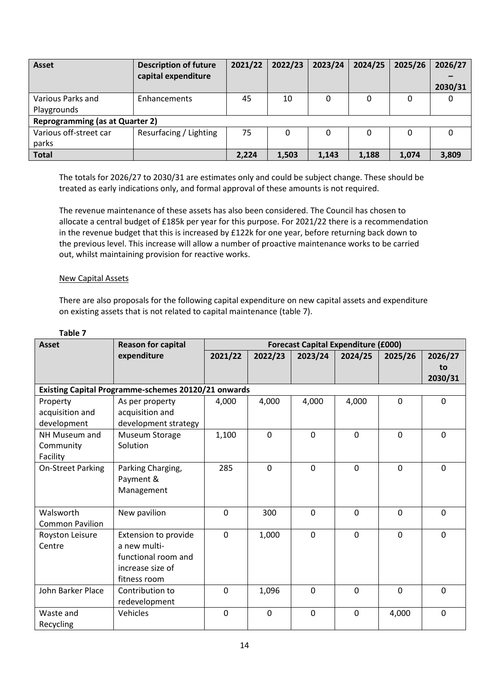| <b>Asset</b>                           | <b>Description of future</b> | 2021/22 | 2022/23 | 2023/24 | 2024/25 | 2025/26 | 2026/27 |
|----------------------------------------|------------------------------|---------|---------|---------|---------|---------|---------|
|                                        | capital expenditure          |         |         |         |         |         |         |
|                                        |                              |         |         |         |         |         | 2030/31 |
| Various Parks and                      | Enhancements                 | 45      | 10      | 0       |         | 0       | O       |
| Playgrounds                            |                              |         |         |         |         |         |         |
| <b>Reprogramming (as at Quarter 2)</b> |                              |         |         |         |         |         |         |
| Various off-street car                 | Resurfacing / Lighting       | 75      | 0       | 0       | 0       | 0       | 0       |
| parks                                  |                              |         |         |         |         |         |         |
| <b>Total</b>                           |                              | 2.224   | 1,503   | 1,143   | 1,188   | 1.074   | 3,809   |

The totals for 2026/27 to 2030/31 are estimates only and could be subject change. These should be treated as early indications only, and formal approval of these amounts is not required.

The revenue maintenance of these assets has also been considered. The Council has chosen to allocate a central budget of £185k per year for this purpose. For 2021/22 there is a recommendation in the revenue budget that this is increased by £122k for one year, before returning back down to the previous level. This increase will allow a number of proactive maintenance works to be carried out, whilst maintaining provision for reactive works.

# New Capital Assets

There are also proposals for the following capital expenditure on new capital assets and expenditure on existing assets that is not related to capital maintenance (table 7).

| . .<br>۰.<br>×<br>۰. |  |
|----------------------|--|
|----------------------|--|

| <b>Asset</b>                                        | <b>Reason for capital</b> | <b>Forecast Capital Expenditure (£000)</b> |              |                |              |              |          |
|-----------------------------------------------------|---------------------------|--------------------------------------------|--------------|----------------|--------------|--------------|----------|
|                                                     | expenditure               | 2021/22                                    | 2022/23      | 2023/24        | 2024/25      | 2025/26      | 2026/27  |
|                                                     |                           |                                            |              |                |              |              | to       |
|                                                     |                           |                                            |              |                |              |              | 2030/31  |
| Existing Capital Programme-schemes 20120/21 onwards |                           |                                            |              |                |              |              |          |
| Property                                            | As per property           | 4,000                                      | 4,000        | 4,000          | 4,000        | $\mathbf 0$  | 0        |
| acquisition and                                     | acquisition and           |                                            |              |                |              |              |          |
| development                                         | development strategy      |                                            |              |                |              |              |          |
| NH Museum and                                       | Museum Storage            | 1,100                                      | $\mathbf{0}$ | $\Omega$       | $\Omega$     | $\mathbf{0}$ | $\Omega$ |
| Community                                           | Solution                  |                                            |              |                |              |              |          |
| Facility                                            |                           |                                            |              |                |              |              |          |
| On-Street Parking                                   | Parking Charging,         | 285                                        | $\mathbf 0$  | $\overline{0}$ | $\mathbf 0$  | $\mathbf 0$  | 0        |
|                                                     | Payment &                 |                                            |              |                |              |              |          |
|                                                     | Management                |                                            |              |                |              |              |          |
|                                                     |                           |                                            |              |                |              |              |          |
| Walsworth                                           | New pavilion              | 0                                          | 300          | $\Omega$       | $\Omega$     | $\Omega$     | $\Omega$ |
| <b>Common Pavilion</b>                              |                           |                                            |              |                |              |              |          |
| Royston Leisure                                     | Extension to provide      | $\Omega$                                   | 1,000        | $\Omega$       | $\Omega$     | $\Omega$     | $\Omega$ |
| Centre                                              | a new multi-              |                                            |              |                |              |              |          |
|                                                     | functional room and       |                                            |              |                |              |              |          |
|                                                     | increase size of          |                                            |              |                |              |              |          |
|                                                     | fitness room              |                                            |              |                |              |              |          |
| John Barker Place                                   | Contribution to           | 0                                          | 1,096        | 0              | $\mathbf{0}$ | $\Omega$     | $\Omega$ |
|                                                     | redevelopment             |                                            |              |                |              |              |          |
| Waste and                                           | Vehicles                  | 0                                          | $\mathbf 0$  | $\overline{0}$ | $\mathbf 0$  | 4,000        | $\Omega$ |
| Recycling                                           |                           |                                            |              |                |              |              |          |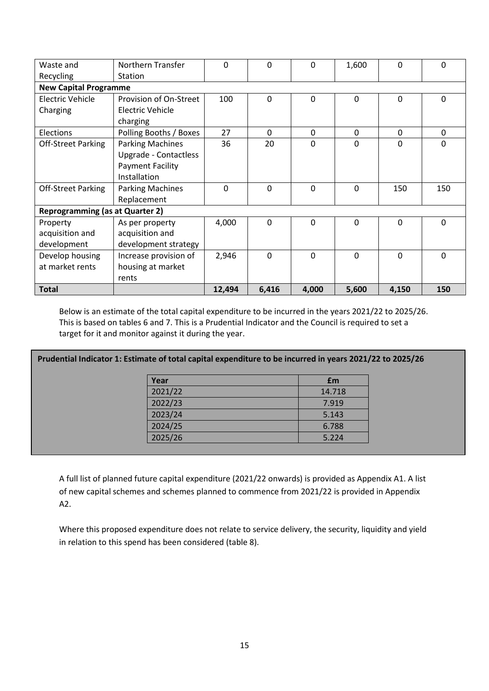| Waste and                              | <b>Northern Transfer</b>     | 0      | $\Omega$ | 0     | 1,600        | 0     | 0        |  |  |  |
|----------------------------------------|------------------------------|--------|----------|-------|--------------|-------|----------|--|--|--|
| Recycling                              | Station                      |        |          |       |              |       |          |  |  |  |
|                                        | <b>New Capital Programme</b> |        |          |       |              |       |          |  |  |  |
| Electric Vehicle                       | Provision of On-Street       | 100    | $\Omega$ | 0     | $\mathbf{0}$ | 0     | $\Omega$ |  |  |  |
| Charging                               | <b>Electric Vehicle</b>      |        |          |       |              |       |          |  |  |  |
|                                        | charging                     |        |          |       |              |       |          |  |  |  |
| Elections                              | Polling Booths / Boxes       | 27     | $\Omega$ | 0     | $\mathbf{0}$ | 0     | 0        |  |  |  |
| <b>Off-Street Parking</b>              | <b>Parking Machines</b>      | 36     | 20       | 0     | $\mathbf{0}$ | 0     | 0        |  |  |  |
|                                        | Upgrade - Contactless        |        |          |       |              |       |          |  |  |  |
|                                        | <b>Payment Facility</b>      |        |          |       |              |       |          |  |  |  |
|                                        | Installation                 |        |          |       |              |       |          |  |  |  |
| <b>Off-Street Parking</b>              | <b>Parking Machines</b>      | 0      | $\Omega$ | 0     | $\Omega$     | 150   | 150      |  |  |  |
|                                        | Replacement                  |        |          |       |              |       |          |  |  |  |
| <b>Reprogramming (as at Quarter 2)</b> |                              |        |          |       |              |       |          |  |  |  |
| Property                               | As per property              | 4,000  | $\Omega$ | 0     | $\mathbf{0}$ | 0     | 0        |  |  |  |
| acquisition and                        | acquisition and              |        |          |       |              |       |          |  |  |  |
| development                            | development strategy         |        |          |       |              |       |          |  |  |  |
| Develop housing                        | Increase provision of        | 2,946  | $\Omega$ | 0     | $\Omega$     | 0     | $\Omega$ |  |  |  |
| at market rents                        | housing at market            |        |          |       |              |       |          |  |  |  |
|                                        | rents                        |        |          |       |              |       |          |  |  |  |
| <b>Total</b>                           |                              | 12,494 | 6,416    | 4,000 | 5,600        | 4,150 | 150      |  |  |  |

Below is an estimate of the total capital expenditure to be incurred in the years 2021/22 to 2025/26. This is based on tables 6 and 7. This is a Prudential Indicator and the Council is required to set a target for it and monitor against it during the year.

# **Prudential Indicator 1: Estimate of total capital expenditure to be incurred in years 2021/22 to 2025/26**

| Year    | £m     |
|---------|--------|
| 2021/22 | 14.718 |
| 2022/23 | 7.919  |
| 2023/24 | 5.143  |
| 2024/25 | 6.788  |
| 2025/26 | 5.224  |

A full list of planned future capital expenditure (2021/22 onwards) is provided as Appendix A1. A list of new capital schemes and schemes planned to commence from 2021/22 is provided in Appendix A2.

Where this proposed expenditure does not relate to service delivery, the security, liquidity and yield in relation to this spend has been considered (table 8).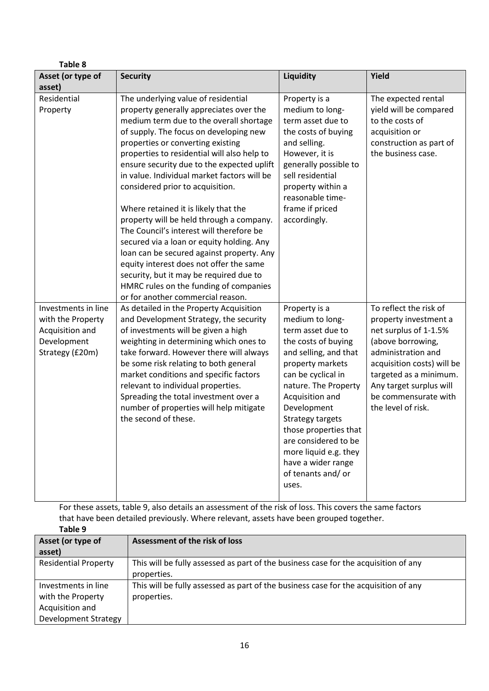| <b>Table 8</b>                                                                                |                                                                                                                                                                                                                                                                                                                                                                                                                                                                                                                                                                                                                                                                                                                                                                                         |                                                                                                                                                                                                                                                                                                                                                              |                                                                                                                                                                                                                                                      |
|-----------------------------------------------------------------------------------------------|-----------------------------------------------------------------------------------------------------------------------------------------------------------------------------------------------------------------------------------------------------------------------------------------------------------------------------------------------------------------------------------------------------------------------------------------------------------------------------------------------------------------------------------------------------------------------------------------------------------------------------------------------------------------------------------------------------------------------------------------------------------------------------------------|--------------------------------------------------------------------------------------------------------------------------------------------------------------------------------------------------------------------------------------------------------------------------------------------------------------------------------------------------------------|------------------------------------------------------------------------------------------------------------------------------------------------------------------------------------------------------------------------------------------------------|
| Asset (or type of                                                                             | <b>Security</b>                                                                                                                                                                                                                                                                                                                                                                                                                                                                                                                                                                                                                                                                                                                                                                         | Liquidity                                                                                                                                                                                                                                                                                                                                                    | Yield                                                                                                                                                                                                                                                |
| asset)                                                                                        |                                                                                                                                                                                                                                                                                                                                                                                                                                                                                                                                                                                                                                                                                                                                                                                         |                                                                                                                                                                                                                                                                                                                                                              |                                                                                                                                                                                                                                                      |
| Residential<br>Property                                                                       | The underlying value of residential<br>property generally appreciates over the<br>medium term due to the overall shortage<br>of supply. The focus on developing new<br>properties or converting existing<br>properties to residential will also help to<br>ensure security due to the expected uplift<br>in value. Individual market factors will be<br>considered prior to acquisition.<br>Where retained it is likely that the<br>property will be held through a company.<br>The Council's interest will therefore be<br>secured via a loan or equity holding. Any<br>loan can be secured against property. Any<br>equity interest does not offer the same<br>security, but it may be required due to<br>HMRC rules on the funding of companies<br>or for another commercial reason. | Property is a<br>medium to long-<br>term asset due to<br>the costs of buying<br>and selling.<br>However, it is<br>generally possible to<br>sell residential<br>property within a<br>reasonable time-<br>frame if priced<br>accordingly.                                                                                                                      | The expected rental<br>yield will be compared<br>to the costs of<br>acquisition or<br>construction as part of<br>the business case.                                                                                                                  |
| Investments in line<br>with the Property<br>Acquisition and<br>Development<br>Strategy (£20m) | As detailed in the Property Acquisition<br>and Development Strategy, the security<br>of investments will be given a high<br>weighting in determining which ones to<br>take forward. However there will always<br>be some risk relating to both general<br>market conditions and specific factors<br>relevant to individual properties.<br>Spreading the total investment over a<br>number of properties will help mitigate<br>the second of these.                                                                                                                                                                                                                                                                                                                                      | Property is a<br>medium to long-<br>term asset due to<br>the costs of buying<br>and selling, and that<br>property markets<br>can be cyclical in<br>nature. The Property<br>Acquisition and<br>Development<br>Strategy targets<br>those properties that<br>are considered to be<br>more liquid e.g. they<br>have a wider range<br>of tenants and/ or<br>uses. | To reflect the risk of<br>property investment a<br>net surplus of 1-1.5%<br>(above borrowing,<br>administration and<br>acquisition costs) will be<br>targeted as a minimum.<br>Any target surplus will<br>be commensurate with<br>the level of risk. |

For these assets, table 9, also details an assessment of the risk of loss. This covers the same factors that have been detailed previously. Where relevant, assets have been grouped together.

|                             | that have been actancy previously. Where relevant, assets have been grouped together. |
|-----------------------------|---------------------------------------------------------------------------------------|
| Table 9                     |                                                                                       |
| Asset (or type of           | Assessment of the risk of loss                                                        |
| asset)                      |                                                                                       |
| <b>Residential Property</b> | This will be fully assessed as part of the business case for the acquisition of any   |
|                             | properties.                                                                           |
| Investments in line         | This will be fully assessed as part of the business case for the acquisition of any   |
| with the Property           | properties.                                                                           |
| Acquisition and             |                                                                                       |
| Development Strategy        |                                                                                       |
|                             |                                                                                       |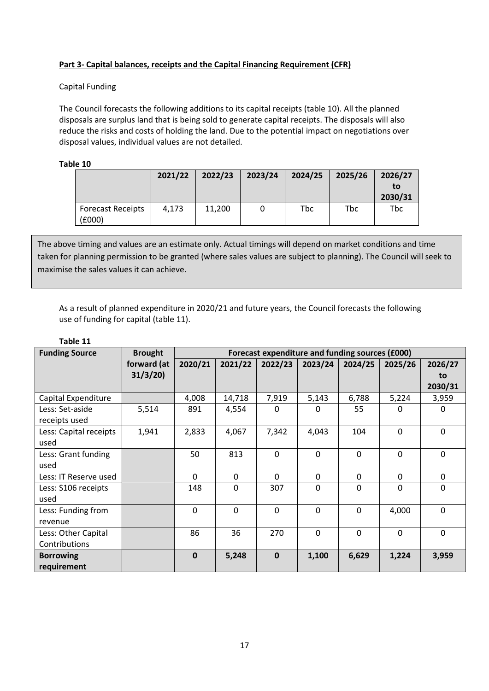# **Part 3- Capital balances, receipts and the Capital Financing Requirement (CFR)**

# Capital Funding

The Council forecasts the following additions to its capital receipts (table 10). All the planned disposals are surplus land that is being sold to generate capital receipts. The disposals will also reduce the risks and costs of holding the land. Due to the potential impact on negotiations over disposal values, individual values are not detailed.

# **Table 10**

|                                    | 2021/22 | 2022/23 | 2023/24 | 2024/25 | 2025/26 | 2026/27<br>to<br>2030/31 |
|------------------------------------|---------|---------|---------|---------|---------|--------------------------|
| <b>Forecast Receipts</b><br>(£000) | 4.173   | 11.200  |         | Tbc     | Tbc     | <b>Tbc</b>               |

The above timing and values are an estimate only. Actual timings will depend on market conditions and time taken for planning permission to be granted (where sales values are subject to planning). The Council will seek to maximise the sales values it can achieve.

As a result of planned expenditure in 2020/21 and future years, the Council forecasts the following use of funding for capital (table 11).

# **Table 11**

| <b>Funding Source</b>  | <b>Brought</b> | Forecast expenditure and funding sources (£000) |              |             |          |              |          |              |
|------------------------|----------------|-------------------------------------------------|--------------|-------------|----------|--------------|----------|--------------|
|                        | forward (at    | 2020/21                                         | 2021/22      | 2022/23     | 2023/24  | 2024/25      | 2025/26  | 2026/27      |
|                        | 31/3/20        |                                                 |              |             |          |              |          | to           |
|                        |                |                                                 |              |             |          |              |          | 2030/31      |
| Capital Expenditure    |                | 4,008                                           | 14,718       | 7,919       | 5,143    | 6,788        | 5,224    | 3,959        |
| Less: Set-aside        | 5,514          | 891                                             | 4,554        | $\Omega$    | O        | 55           | O        | $\Omega$     |
| receipts used          |                |                                                 |              |             |          |              |          |              |
| Less: Capital receipts | 1,941          | 2,833                                           | 4,067        | 7,342       | 4,043    | 104          | $\Omega$ | $\Omega$     |
| used                   |                |                                                 |              |             |          |              |          |              |
| Less: Grant funding    |                | 50                                              | 813          | $\Omega$    | $\Omega$ | $\mathbf 0$  | 0        | $\mathbf 0$  |
| used                   |                |                                                 |              |             |          |              |          |              |
| Less: IT Reserve used  |                | $\Omega$                                        | $\mathbf{0}$ | $\Omega$    | 0        | $\mathbf{0}$ | 0        | $\mathbf{0}$ |
| Less: S106 receipts    |                | 148                                             | $\mathbf{0}$ | 307         | $\Omega$ | 0            | $\Omega$ | 0            |
| used                   |                |                                                 |              |             |          |              |          |              |
| Less: Funding from     |                | $\Omega$                                        | $\Omega$     | $\Omega$    | $\Omega$ | $\Omega$     | 4,000    | $\Omega$     |
| revenue                |                |                                                 |              |             |          |              |          |              |
| Less: Other Capital    |                | 86                                              | 36           | 270         | $\Omega$ | $\mathbf 0$  | 0        | 0            |
| Contributions          |                |                                                 |              |             |          |              |          |              |
| <b>Borrowing</b>       |                | $\mathbf 0$                                     | 5,248        | $\mathbf 0$ | 1,100    | 6,629        | 1,224    | 3,959        |
| requirement            |                |                                                 |              |             |          |              |          |              |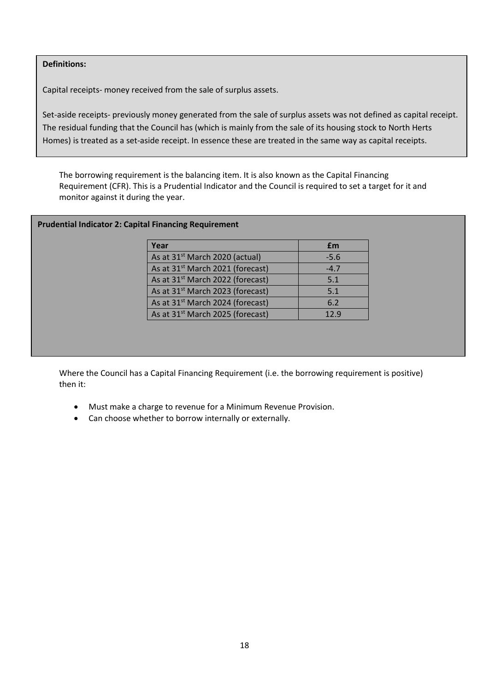# **Definitions:**

Capital receipts- money received from the sale of surplus assets.

Set-aside receipts- previously money generated from the sale of surplus assets was not defined as capital receipt. The residual funding that the Council has (which is mainly from the sale of its housing stock to North Herts Homes) is treated as a set-aside receipt. In essence these are treated in the same way as capital receipts.

The borrowing requirement is the balancing item. It is also known as the Capital Financing Requirement (CFR). This is a Prudential Indicator and the Council is required to set a target for it and monitor against it during the year.

# **Prudential Indicator 2: Capital Financing Requirement**

| Year                                         | £m     |
|----------------------------------------------|--------|
| As at 31 <sup>st</sup> March 2020 (actual)   | $-5.6$ |
| As at 31 <sup>st</sup> March 2021 (forecast) | $-4.7$ |
| As at 31 <sup>st</sup> March 2022 (forecast) | 5.1    |
| As at 31 <sup>st</sup> March 2023 (forecast) | 5.1    |
| As at 31 <sup>st</sup> March 2024 (forecast) | 6.2    |
| As at 31 <sup>st</sup> March 2025 (forecast) | 12.9   |

Where the Council has a Capital Financing Requirement (i.e. the borrowing requirement is positive) then it:

- Must make a charge to revenue for a Minimum Revenue Provision.
- Can choose whether to borrow internally or externally.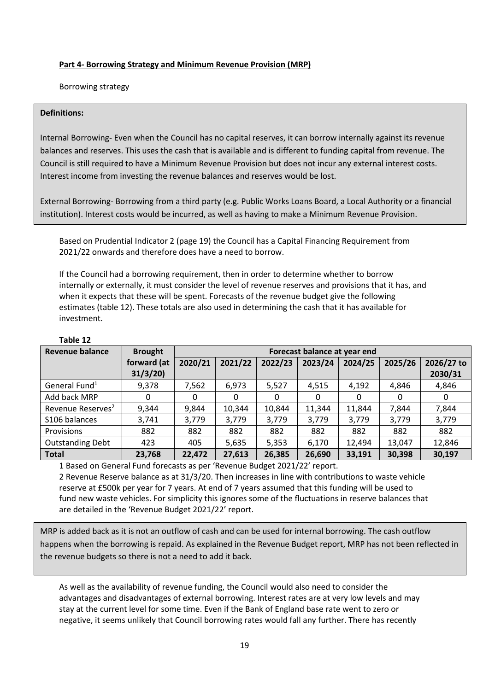# **Part 4- Borrowing Strategy and Minimum Revenue Provision (MRP)**

# Borrowing strategy

# **Definitions:**

Internal Borrowing- Even when the Council has no capital reserves, it can borrow internally against its revenue balances and reserves. This uses the cash that is available and is different to funding capital from revenue. The Council is still required to have a Minimum Revenue Provision but does not incur any external interest costs. Interest income from investing the revenue balances and reserves would be lost.

External Borrowing- Borrowing from a third party (e.g. Public Works Loans Board, a Local Authority or a financial institution). Interest costs would be incurred, as well as having to make a Minimum Revenue Provision.

Based on Prudential Indicator 2 (page 19) the Council has a Capital Financing Requirement from 2021/22 onwards and therefore does have a need to borrow.

If the Council had a borrowing requirement, then in order to determine whether to borrow internally or externally, it must consider the level of revenue reserves and provisions that it has, and when it expects that these will be spent. Forecasts of the revenue budget give the following estimates (table 12). These totals are also used in determining the cash that it has available for investment.

| Revenue balance               | <b>Brought</b>         |         | Forecast balance at year end |         |         |         |         |                       |
|-------------------------------|------------------------|---------|------------------------------|---------|---------|---------|---------|-----------------------|
|                               | forward (at<br>31/3/20 | 2020/21 | 2021/22                      | 2022/23 | 2023/24 | 2024/25 | 2025/26 | 2026/27 to<br>2030/31 |
| General Fund <sup>1</sup>     | 9,378                  | 7,562   | 6,973                        | 5,527   | 4,515   | 4,192   | 4,846   | 4,846                 |
| Add back MRP                  | 0                      | 0       | 0                            | 0       | 0       | 0       | 0       | 0                     |
| Revenue Reserves <sup>2</sup> | 9,344                  | 9,844   | 10,344                       | 10,844  | 11,344  | 11.844  | 7.844   | 7,844                 |
| S106 balances                 | 3,741                  | 3,779   | 3,779                        | 3,779   | 3,779   | 3,779   | 3,779   | 3,779                 |
| Provisions                    | 882                    | 882     | 882                          | 882     | 882     | 882     | 882     | 882                   |
| <b>Outstanding Debt</b>       | 423                    | 405     | 5,635                        | 5,353   | 6,170   | 12,494  | 13,047  | 12,846                |
| <b>Total</b>                  | 23,768                 | 22,472  | 27,613                       | 26,385  | 26,690  | 33,191  | 30,398  | 30,197                |

# **Table 12**

1 Based on General Fund forecasts as per 'Revenue Budget 2021/22' report. 2 Revenue Reserve balance as at 31/3/20. Then increases in line with contributions to waste vehicle reserve at £500k per year for 7 years. At end of 7 years assumed that this funding will be used to fund new waste vehicles. For simplicity this ignores some of the fluctuations in reserve balances that are detailed in the 'Revenue Budget 2021/22' report.

MRP is added back as it is not an outflow of cash and can be used for internal borrowing. The cash outflow happens when the borrowing is repaid. As explained in the Revenue Budget report, MRP has not been reflected in the revenue budgets so there is not a need to add it back.

As well as the availability of revenue funding, the Council would also need to consider the advantages and disadvantages of external borrowing. Interest rates are at very low levels and may stay at the current level for some time. Even if the Bank of England base rate went to zero or negative, it seems unlikely that Council borrowing rates would fall any further. There has recently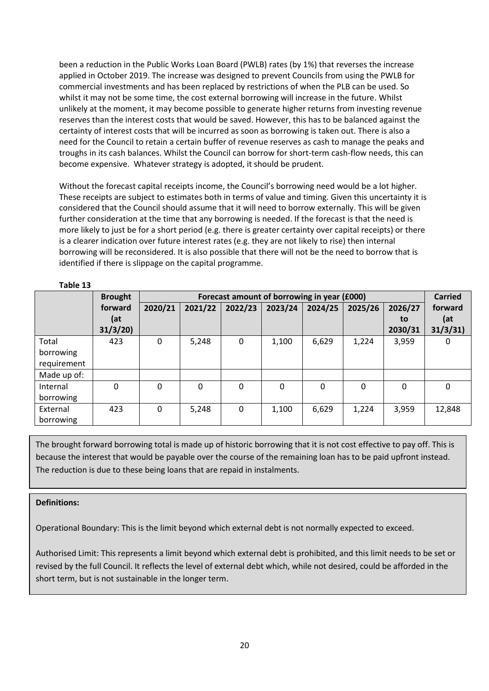been a reduction in the Public Works Loan Board (PWLB) rates (by 1%) that reverses the increase applied in October 2019. The increase was designed to prevent Councils from using the PWLB for commercial investments and has been replaced by restrictions of when the PLB can be used. So whilst it may not be some time, the cost external borrowing will increase in the future. Whilst unlikely at the moment, it may become possible to generate higher returns from investing revenue reserves than the interest costs that would be saved. However, this has to be balanced against the certainty of interest costs that will be incurred as soon as borrowing is taken out. There is also a need for the Council to retain a certain buffer of revenue reserves as cash to manage the peaks and troughs in its cash balances. Whilst the Council can borrow for short-term cash-flow needs, this can become expensive. Whatever strategy is adopted, it should be prudent.

Without the forecast capital receipts income, the Council's borrowing need would be a lot higher. These receipts are subject to estimates both in terms of value and timing. Given this uncertainty it is considered that the Council should assume that it will need to borrow externally. This will be given further consideration at the time that any borrowing is needed. If the forecast is that the need is more likely to just be for a short period (e.g. there is greater certainty over capital receipts) or there is a clearer indication over future interest rates (e.g. they are not likely to rise) then internal borrowing will be reconsidered. It is also possible that there will not be the need to borrow that is identified if there is slippage on the capital programme.

|             | <b>Brought</b> |             | Forecast amount of borrowing in year (£000) |          |             |         |         |               |                |
|-------------|----------------|-------------|---------------------------------------------|----------|-------------|---------|---------|---------------|----------------|
|             | forward<br>(at | 2020/21     | 2021/22                                     | 2022/23  | 2023/24     | 2024/25 | 2025/26 | 2026/27<br>to | forward<br>(at |
|             | 31/3/20        |             |                                             |          |             |         |         | 2030/31       | 31/3/31        |
| Total       | 423            | $\Omega$    | 5,248                                       | 0        | 1,100       | 6,629   | 1,224   | 3,959         | 0              |
| borrowing   |                |             |                                             |          |             |         |         |               |                |
| requirement |                |             |                                             |          |             |         |         |               |                |
| Made up of: |                |             |                                             |          |             |         |         |               |                |
| Internal    | 0              | $\Omega$    | 0                                           | $\Omega$ | $\mathbf 0$ | 0       | 0       | 0             | 0              |
| borrowing   |                |             |                                             |          |             |         |         |               |                |
| External    | 423            | $\mathbf 0$ | 5,248                                       | $\Omega$ | 1,100       | 6,629   | 1,224   | 3,959         | 12,848         |
| borrowing   |                |             |                                             |          |             |         |         |               |                |

# **Table 13**

because the interest that would be payable over the course of the remaining loan has to be paid upfront instead. The reduction is due to these being loans that are repaid in instalments. The brought forward borrowing total is made up of historic borrowing that it is not cost effective to pay off. This is

# **Definitions:**

Operational Boundary: This is the limit beyond which external debt is not normally expected to exceed.

Authorised Limit: This represents a limit beyond which external debt is prohibited, and this limit needs to be set or revised by the full Council. It reflects the level of external debt which, while not desired, could be afforded in the short term, but is not sustainable in the longer term.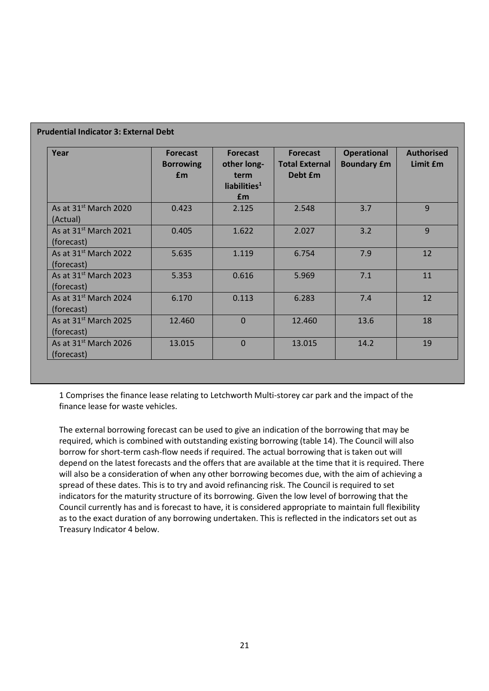| Year                                            | <b>Forecast</b><br><b>Borrowing</b><br><b>f</b> m | <b>Forecast</b><br>other long-<br>term<br>liabilities $1$<br>Em | <b>Forecast</b><br><b>Total External</b><br>Debt £m | <b>Operational</b><br><b>Boundary £m</b> | <b>Authorised</b><br>Limit <i>fm</i> |
|-------------------------------------------------|---------------------------------------------------|-----------------------------------------------------------------|-----------------------------------------------------|------------------------------------------|--------------------------------------|
| As at 31 <sup>st</sup> March 2020<br>(Actual)   | 0.423                                             | 2.125                                                           | 2.548                                               | 3.7                                      | 9                                    |
| As at 31 <sup>st</sup> March 2021<br>(forecast) | 0.405                                             | 1.622                                                           | 2.027                                               | 3.2                                      | $\overline{9}$                       |
| As at $31^{st}$ March 2022<br>(forecast)        | 5.635                                             | 1.119                                                           | 6.754                                               | 7.9                                      | 12                                   |
| As at 31 <sup>st</sup> March 2023<br>(forecast) | 5.353                                             | 0.616                                                           | 5.969                                               | 7.1                                      | 11                                   |
| As at 31 <sup>st</sup> March 2024<br>(forecast) | 6.170                                             | 0.113                                                           | 6.283                                               | 7.4                                      | 12                                   |
| As at 31 <sup>st</sup> March 2025<br>(forecast) | 12.460                                            | $\mathbf 0$                                                     | 12.460                                              | 13.6                                     | 18                                   |
| As at $31^{st}$ March 2026<br>(forecast)        | 13.015                                            | $\Omega$                                                        | 13.015                                              | 14.2                                     | 19                                   |

# **Prudential Indicator 3: External Debt**

1 Comprises the finance lease relating to Letchworth Multi-storey car park and the impact of the finance lease for waste vehicles.

The external borrowing forecast can be used to give an indication of the borrowing that may be required, which is combined with outstanding existing borrowing (table 14). The Council will also borrow for short-term cash-flow needs if required. The actual borrowing that is taken out will depend on the latest forecasts and the offers that are available at the time that it is required. There will also be a consideration of when any other borrowing becomes due, with the aim of achieving a spread of these dates. This is to try and avoid refinancing risk. The Council is required to set indicators for the maturity structure of its borrowing. Given the low level of borrowing that the Council currently has and is forecast to have, it is considered appropriate to maintain full flexibility as to the exact duration of any borrowing undertaken. This is reflected in the indicators set out as Treasury Indicator 4 below.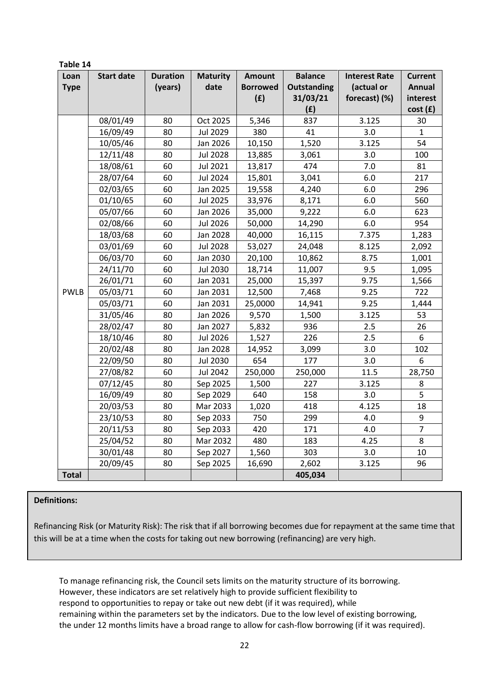| Table 14     |                   |                 |                 |                 |                    |                      |                |  |  |
|--------------|-------------------|-----------------|-----------------|-----------------|--------------------|----------------------|----------------|--|--|
| Loan         | <b>Start date</b> | <b>Duration</b> | <b>Maturity</b> | <b>Amount</b>   | <b>Balance</b>     | <b>Interest Rate</b> | <b>Current</b> |  |  |
| <b>Type</b>  |                   | (years)         | date            | <b>Borrowed</b> | <b>Outstanding</b> | (actual or           | <b>Annual</b>  |  |  |
|              |                   |                 |                 | (E)             | 31/03/21           | forecast) (%)        | interest       |  |  |
|              |                   |                 |                 |                 | (E)                |                      | cost(f)        |  |  |
|              | 08/01/49          | 80              | Oct 2025        | 5,346           | 837                | 3.125                | 30             |  |  |
|              | 16/09/49          | 80              | Jul 2029        | 380             | 41                 | 3.0                  | $\mathbf{1}$   |  |  |
|              | 10/05/46          | 80              | Jan 2026        | 10,150          | 1,520              | 3.125                | 54             |  |  |
|              | 12/11/48          | 80              | <b>Jul 2028</b> | 13,885          | 3,061              | 3.0                  | 100            |  |  |
|              | 18/08/61          | 60              | Jul 2021        | 13,817          | 474                | 7.0                  | 81             |  |  |
|              | 28/07/64          | 60              | <b>Jul 2024</b> | 15,801          | 3,041              | 6.0                  | 217            |  |  |
|              | 02/03/65          | 60              | Jan 2025        | 19,558          | 4,240              | 6.0                  | 296            |  |  |
|              | 01/10/65          | 60              | <b>Jul 2025</b> | 33,976          | 8,171              | 6.0                  | 560            |  |  |
|              | 05/07/66          | 60              | Jan 2026        | 35,000          | 9,222              | 6.0                  | 623            |  |  |
|              | 02/08/66          | 60              | <b>Jul 2026</b> | 50,000          | 14,290             | 6.0                  | 954            |  |  |
|              | 18/03/68          | 60              | Jan 2028        | 40,000          | 16,115             | 7.375                | 1,283          |  |  |
|              | 03/01/69          | 60              | <b>Jul 2028</b> | 53,027          | 24,048             | 8.125                | 2,092          |  |  |
|              | 06/03/70          | 60              | Jan 2030        | 20,100          | 10,862             | 8.75                 | 1,001          |  |  |
|              | 24/11/70          | 60              | <b>Jul 2030</b> | 18,714          | 11,007             | 9.5                  | 1,095          |  |  |
|              | 26/01/71          | 60              | Jan 2031        | 25,000          | 15,397             | 9.75                 | 1,566          |  |  |
| <b>PWLB</b>  | 05/03/71          | 60              | Jan 2031        | 12,500          | 7,468              | 9.25                 | 722            |  |  |
|              | 05/03/71          | 60              | Jan 2031        | 25,0000         | 14,941             | 9.25                 | 1,444          |  |  |
|              | 31/05/46          | 80              | Jan 2026        | 9,570           | 1,500              | 3.125                | 53             |  |  |
|              | 28/02/47          | 80              | Jan 2027        | 5,832           | 936                | 2.5                  | 26             |  |  |
|              | 18/10/46          | 80              | <b>Jul 2026</b> | 1,527           | 226                | 2.5                  | 6              |  |  |
|              | 20/02/48          | 80              | Jan 2028        | 14,952          | 3,099              | 3.0                  | 102            |  |  |
|              | 22/09/50          | 80              | <b>Jul 2030</b> | 654             | 177                | 3.0                  | 6              |  |  |
|              | 27/08/82          | 60              | Jul 2042        | 250,000         | 250,000            | 11.5                 | 28,750         |  |  |
|              | 07/12/45          | 80              | Sep 2025        | 1,500           | 227                | 3.125                | 8              |  |  |
|              | 16/09/49          | 80              | Sep 2029        | 640             | 158                | 3.0                  | 5              |  |  |
|              | 20/03/53          | 80              | Mar 2033        | 1,020           | 418                | 4.125                | 18             |  |  |
|              | 23/10/53          | 80              | Sep 2033        | 750             | 299                | 4.0                  | 9              |  |  |
|              | 20/11/53          | 80              | Sep 2033        | 420             | 171                | 4.0                  | $\overline{7}$ |  |  |
|              | 25/04/52          | 80              | Mar 2032        | 480             | 183                | 4.25                 | 8              |  |  |
|              | 30/01/48          | 80              | Sep 2027        | 1,560           | 303                | 3.0                  | 10             |  |  |
|              | 20/09/45          | 80              | Sep 2025        | 16,690          | 2,602              | 3.125                | 96             |  |  |
| <b>Total</b> |                   |                 |                 |                 | 405,034            |                      |                |  |  |

# **Definitions:**

Refinancing Risk (or Maturity Risk): The risk that if all borrowing becomes due for repayment at the same time that this will be at a time when the costs for taking out new borrowing (refinancing) are very high.

To manage refinancing risk, the Council sets limits on the maturity structure of its borrowing. However, these indicators are set relatively high to provide sufficient flexibility to respond to opportunities to repay or take out new debt (if it was required), while remaining within the parameters set by the indicators. Due to the low level of existing borrowing, the under 12 months limits have a broad range to allow for cash-flow borrowing (if it was required).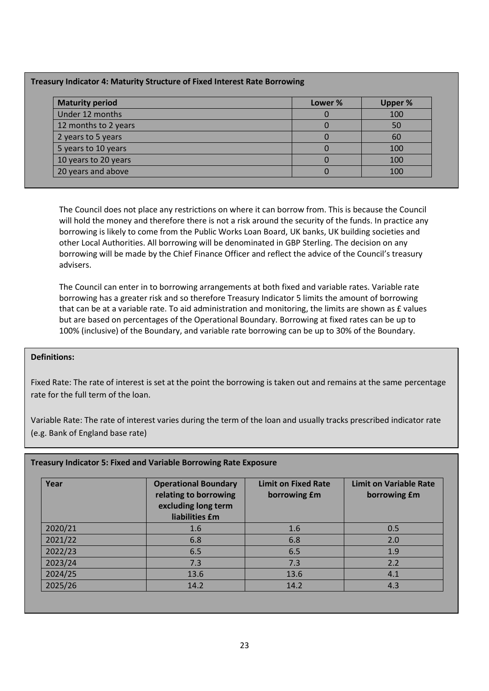# **Treasury Indicator 4: Maturity Structure of Fixed Interest Rate Borrowing**

| <b>Maturity period</b> | Lower % | <b>Upper %</b> |
|------------------------|---------|----------------|
| Under 12 months        |         | 100            |
| 12 months to 2 years   |         | 50             |
| 2 years to 5 years     |         | 60             |
| 5 years to 10 years    |         | 100            |
| 10 years to 20 years   |         | 100            |
| 20 years and above     |         | 100            |

The Council does not place any restrictions on where it can borrow from. This is because the Council will hold the money and therefore there is not a risk around the security of the funds. In practice any borrowing is likely to come from the Public Works Loan Board, UK banks, UK building societies and other Local Authorities. All borrowing will be denominated in GBP Sterling. The decision on any borrowing will be made by the Chief Finance Officer and reflect the advice of the Council's treasury advisers.

The Council can enter in to borrowing arrangements at both fixed and variable rates. Variable rate borrowing has a greater risk and so therefore Treasury Indicator 5 limits the amount of borrowing that can be at a variable rate. To aid administration and monitoring, the limits are shown as £ values but are based on percentages of the Operational Boundary. Borrowing at fixed rates can be up to 100% (inclusive) of the Boundary, and variable rate borrowing can be up to 30% of the Boundary.

# **Definitions:**

Fixed Rate: The rate of interest is set at the point the borrowing is taken out and remains at the same percentage rate for the full term of the loan.

Variable Rate: The rate of interest varies during the term of the loan and usually tracks prescribed indicator rate (e.g. Bank of England base rate)

# **Treasury Indicator 5: Fixed and Variable Borrowing Rate Exposure**

| Year    | <b>Operational Boundary</b><br>relating to borrowing<br>excluding long term<br>liabilities £m | <b>Limit on Fixed Rate</b><br>borrowing £m | <b>Limit on Variable Rate</b><br>borrowing £m |
|---------|-----------------------------------------------------------------------------------------------|--------------------------------------------|-----------------------------------------------|
| 2020/21 | 1.6                                                                                           | 1.6                                        | 0.5                                           |
| 2021/22 | 6.8                                                                                           | 6.8                                        | 2.0                                           |
| 2022/23 | 6.5                                                                                           | 6.5                                        | 1.9                                           |
| 2023/24 | 7.3                                                                                           | 7.3                                        | 2.2                                           |
| 2024/25 | 13.6                                                                                          | 13.6                                       | 4.1                                           |
| 2025/26 | 14.2                                                                                          | 14.2                                       | 4.3                                           |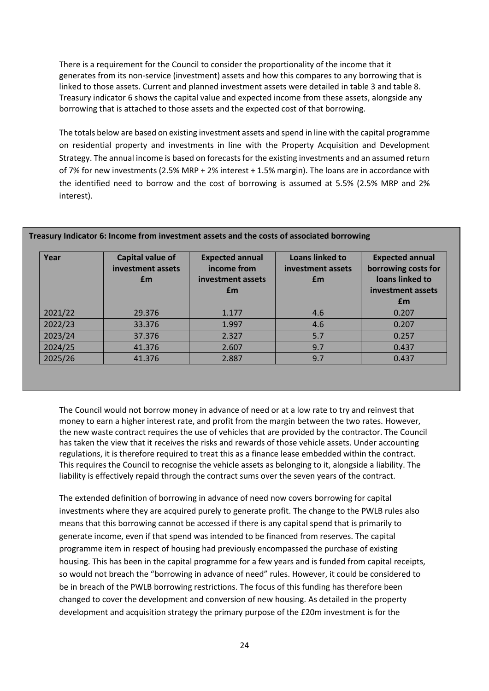There is a requirement for the Council to consider the proportionality of the income that it generates from its non-service (investment) assets and how this compares to any borrowing that is linked to those assets. Current and planned investment assets were detailed in table 3 and table 8. Treasury indicator 6 shows the capital value and expected income from these assets, alongside any borrowing that is attached to those assets and the expected cost of that borrowing.

The totals below are based on existing investment assets and spend in line with the capital programme on residential property and investments in line with the Property Acquisition and Development Strategy. The annual income is based on forecasts for the existing investments and an assumed return of 7% for new investments (2.5% MRP + 2% interest + 1.5% margin). The loans are in accordance with the identified need to borrow and the cost of borrowing is assumed at 5.5% (2.5% MRP and 2% interest).

| Year    | Capital value of<br>investment assets<br><b>f</b> m | <b>Expected annual</b><br>income from<br>investment assets<br>£m | <b>Loans linked to</b><br>investment assets<br>£m | <b>Expected annual</b><br>borrowing costs for<br>loans linked to<br>investment assets<br><b>f</b> m |
|---------|-----------------------------------------------------|------------------------------------------------------------------|---------------------------------------------------|-----------------------------------------------------------------------------------------------------|
| 2021/22 | 29.376                                              | 1.177                                                            | 4.6                                               | 0.207                                                                                               |
| 2022/23 | 33.376                                              | 1.997                                                            | 4.6                                               | 0.207                                                                                               |
| 2023/24 | 37.376                                              | 2.327                                                            | 5.7                                               | 0.257                                                                                               |
| 2024/25 | 41.376                                              | 2.607                                                            | 9.7                                               | 0.437                                                                                               |
| 2025/26 | 41.376                                              | 2.887                                                            | 9.7                                               | 0.437                                                                                               |

# **Treasury Indicator 6: Income from investment assets and the costs of associated borrowing**

The Council would not borrow money in advance of need or at a low rate to try and reinvest that money to earn a higher interest rate, and profit from the margin between the two rates. However, the new waste contract requires the use of vehicles that are provided by the contractor. The Council has taken the view that it receives the risks and rewards of those vehicle assets. Under accounting regulations, it is therefore required to treat this as a finance lease embedded within the contract. This requires the Council to recognise the vehicle assets as belonging to it, alongside a liability. The liability is effectively repaid through the contract sums over the seven years of the contract.

The extended definition of borrowing in advance of need now covers borrowing for capital investments where they are acquired purely to generate profit. The change to the PWLB rules also means that this borrowing cannot be accessed if there is any capital spend that is primarily to generate income, even if that spend was intended to be financed from reserves. The capital programme item in respect of housing had previously encompassed the purchase of existing housing. This has been in the capital programme for a few years and is funded from capital receipts, so would not breach the "borrowing in advance of need" rules. However, it could be considered to be in breach of the PWLB borrowing restrictions. The focus of this funding has therefore been changed to cover the development and conversion of new housing. As detailed in the property development and acquisition strategy the primary purpose of the £20m investment is for the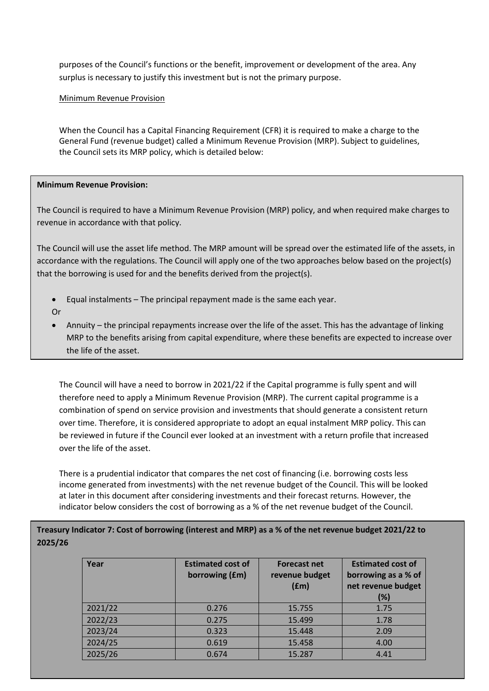purposes of the Council's functions or the benefit, improvement or development of the area. Any surplus is necessary to justify this investment but is not the primary purpose.

# Minimum Revenue Provision

When the Council has a Capital Financing Requirement (CFR) it is required to make a charge to the General Fund (revenue budget) called a Minimum Revenue Provision (MRP). Subject to guidelines, the Council sets its MRP policy, which is detailed below:

# **Minimum Revenue Provision:**

The Council is required to have a Minimum Revenue Provision (MRP) policy, and when required make charges to revenue in accordance with that policy.

The Council will use the asset life method. The MRP amount will be spread over the estimated life of the assets, in accordance with the regulations. The Council will apply one of the two approaches below based on the project(s) that the borrowing is used for and the benefits derived from the project(s).

- Equal instalments The principal repayment made is the same each year.
- Or
- Annuity the principal repayments increase over the life of the asset. This has the advantage of linking MRP to the benefits arising from capital expenditure, where these benefits are expected to increase over the life of the asset.

The Council will have a need to borrow in 2021/22 if the Capital programme is fully spent and will therefore need to apply a Minimum Revenue Provision (MRP). The current capital programme is a combination of spend on service provision and investments that should generate a consistent return over time. Therefore, it is considered appropriate to adopt an equal instalment MRP policy. This can be reviewed in future if the Council ever looked at an investment with a return profile that increased over the life of the asset.

There is a prudential indicator that compares the net cost of financing (i.e. borrowing costs less income generated from investments) with the net revenue budget of the Council. This will be looked at later in this document after considering investments and their forecast returns. However, the indicator below considers the cost of borrowing as a % of the net revenue budget of the Council.

# **Treasury Indicator 7: Cost of borrowing (interest and MRP) as a % of the net revenue budget 2021/22 to 2025/26**

| Year    | <b>Estimated cost of</b><br>borrowing (£m) | <b>Forecast net</b><br>revenue budget<br>(fm) | <b>Estimated cost of</b><br>borrowing as a % of<br>net revenue budget<br>(%) |
|---------|--------------------------------------------|-----------------------------------------------|------------------------------------------------------------------------------|
| 2021/22 | 0.276                                      | 15.755                                        | 1.75                                                                         |
| 2022/23 | 0.275                                      | 15.499                                        | 1.78                                                                         |
| 2023/24 | 0.323                                      | 15.448                                        | 2.09                                                                         |
| 2024/25 | 0.619                                      | 15.458                                        | 4.00                                                                         |
| 2025/26 | 0.674                                      | 15.287                                        | 4.41                                                                         |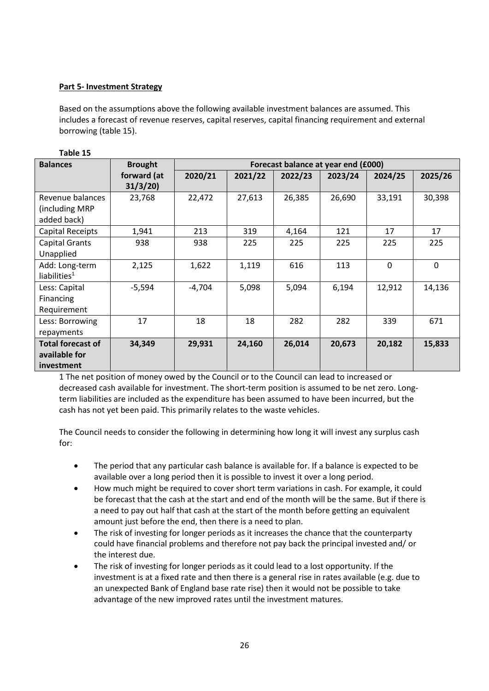# **Part 5- Investment Strategy**

**Table 15**

Based on the assumptions above the following available investment balances are assumed. This includes a forecast of revenue reserves, capital reserves, capital financing requirement and external borrowing (table 15).

| <b>Balances</b>                                                | <b>Brought</b>         | Forecast balance at year end (£000) |         |         |         |         |         |
|----------------------------------------------------------------|------------------------|-------------------------------------|---------|---------|---------|---------|---------|
|                                                                | forward (at<br>31/3/20 | 2020/21                             | 2021/22 | 2022/23 | 2023/24 | 2024/25 | 2025/26 |
| Revenue balances<br>(including MRP)<br>added back)             | 23,768                 | 22,472                              | 27,613  | 26,385  | 26,690  | 33,191  | 30,398  |
| <b>Capital Receipts</b>                                        | 1,941                  | 213                                 | 319     | 4,164   | 121     | 17      | 17      |
| Capital Grants<br>Unapplied                                    | 938                    | 938                                 | 225     | 225     | 225     | 225     | 225     |
| Add: Long-term<br>liabilities $1$                              | 2,125                  | 1,622                               | 1,119   | 616     | 113     | 0       | 0       |
| Less: Capital<br>Financing<br>Requirement                      | $-5,594$               | $-4,704$                            | 5,098   | 5,094   | 6,194   | 12,912  | 14,136  |
| Less: Borrowing<br>repayments                                  | 17                     | 18                                  | 18      | 282     | 282     | 339     | 671     |
| <b>Total forecast of</b><br>available for<br><i>investment</i> | 34,349                 | 29,931                              | 24,160  | 26,014  | 20,673  | 20,182  | 15,833  |

1 The net position of money owed by the Council or to the Council can lead to increased or decreased cash available for investment. The short-term position is assumed to be net zero. Longterm liabilities are included as the expenditure has been assumed to have been incurred, but the cash has not yet been paid. This primarily relates to the waste vehicles.

The Council needs to consider the following in determining how long it will invest any surplus cash for:

- The period that any particular cash balance is available for. If a balance is expected to be available over a long period then it is possible to invest it over a long period.
- How much might be required to cover short term variations in cash. For example, it could be forecast that the cash at the start and end of the month will be the same. But if there is a need to pay out half that cash at the start of the month before getting an equivalent amount just before the end, then there is a need to plan.
- The risk of investing for longer periods as it increases the chance that the counterparty could have financial problems and therefore not pay back the principal invested and/ or the interest due.
- The risk of investing for longer periods as it could lead to a lost opportunity. If the investment is at a fixed rate and then there is a general rise in rates available (e.g. due to an unexpected Bank of England base rate rise) then it would not be possible to take advantage of the new improved rates until the investment matures.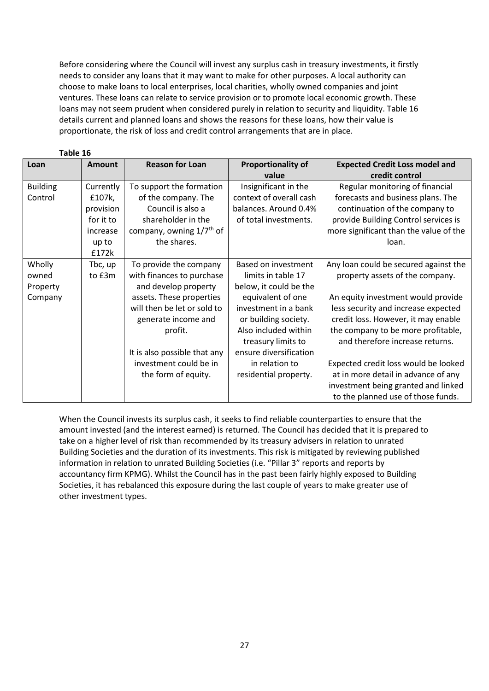Before considering where the Council will invest any surplus cash in treasury investments, it firstly needs to consider any loans that it may want to make for other purposes. A local authority can choose to make loans to local enterprises, local charities, wholly owned companies and joint ventures. These loans can relate to service provision or to promote local economic growth. These loans may not seem prudent when considered purely in relation to security and liquidity. Table 16 details current and planned loans and shows the reasons for these loans, how their value is proportionate, the risk of loss and credit control arrangements that are in place.

| Loan            | Amount    | <b>Reason for Loan</b>               | <b>Proportionality of</b><br>value | <b>Expected Credit Loss model and</b><br>credit control |
|-----------------|-----------|--------------------------------------|------------------------------------|---------------------------------------------------------|
| <b>Building</b> | Currently | To support the formation             | Insignificant in the               | Regular monitoring of financial                         |
| Control         | £107k,    | of the company. The                  | context of overall cash            | forecasts and business plans. The                       |
|                 | provision | Council is also a                    | balances. Around 0.4%              | continuation of the company to                          |
|                 | for it to | shareholder in the                   | of total investments.              | provide Building Control services is                    |
|                 | increase  | company, owning 1/7 <sup>th</sup> of |                                    | more significant than the value of the                  |
|                 | up to     | the shares.                          |                                    | loan.                                                   |
|                 | £172k     |                                      |                                    |                                                         |
| Wholly          | Tbc, up   | To provide the company               | Based on investment                | Any loan could be secured against the                   |
| owned           | to £3m    | with finances to purchase            | limits in table 17                 | property assets of the company.                         |
| Property        |           | and develop property                 | below, it could be the             |                                                         |
| Company         |           | assets. These properties             | equivalent of one                  | An equity investment would provide                      |
|                 |           | will then be let or sold to          | investment in a bank               | less security and increase expected                     |
|                 |           | generate income and                  | or building society.               | credit loss. However, it may enable                     |
|                 |           | profit.                              | Also included within               | the company to be more profitable,                      |
|                 |           |                                      | treasury limits to                 | and therefore increase returns.                         |
|                 |           | It is also possible that any         | ensure diversification             |                                                         |
|                 |           | investment could be in               | in relation to                     | Expected credit loss would be looked                    |
|                 |           | the form of equity.                  | residential property.              | at in more detail in advance of any                     |
|                 |           |                                      |                                    | investment being granted and linked                     |
|                 |           |                                      |                                    | to the planned use of those funds.                      |

**Table 16**

When the Council invests its surplus cash, it seeks to find reliable counterparties to ensure that the amount invested (and the interest earned) is returned. The Council has decided that it is prepared to take on a higher level of risk than recommended by its treasury advisers in relation to unrated Building Societies and the duration of its investments. This risk is mitigated by reviewing published information in relation to unrated Building Societies (i.e. "Pillar 3" reports and reports by accountancy firm KPMG). Whilst the Council has in the past been fairly highly exposed to Building Societies, it has rebalanced this exposure during the last couple of years to make greater use of other investment types.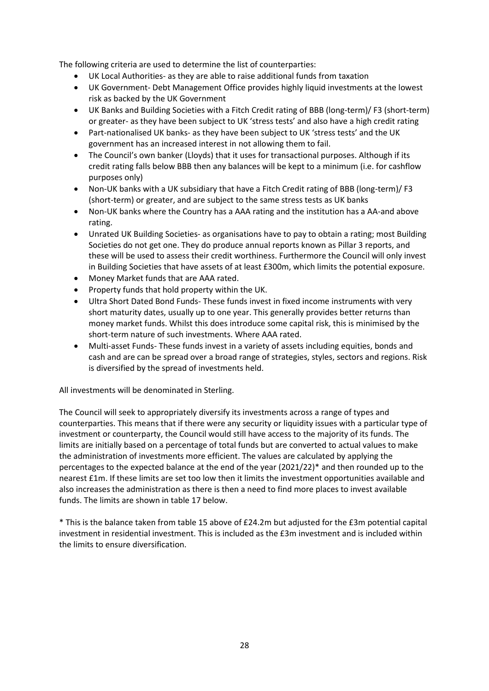The following criteria are used to determine the list of counterparties:

- UK Local Authorities- as they are able to raise additional funds from taxation
- UK Government- Debt Management Office provides highly liquid investments at the lowest risk as backed by the UK Government
- UK Banks and Building Societies with a Fitch Credit rating of BBB (long-term)/ F3 (short-term) or greater- as they have been subject to UK 'stress tests' and also have a high credit rating
- Part-nationalised UK banks- as they have been subject to UK 'stress tests' and the UK government has an increased interest in not allowing them to fail.
- The Council's own banker (Lloyds) that it uses for transactional purposes. Although if its credit rating falls below BBB then any balances will be kept to a minimum (i.e. for cashflow purposes only)
- Non-UK banks with a UK subsidiary that have a Fitch Credit rating of BBB (long-term)/ F3 (short-term) or greater, and are subject to the same stress tests as UK banks
- Non-UK banks where the Country has a AAA rating and the institution has a AA-and above rating.
- Unrated UK Building Societies- as organisations have to pay to obtain a rating; most Building Societies do not get one. They do produce annual reports known as Pillar 3 reports, and these will be used to assess their credit worthiness. Furthermore the Council will only invest in Building Societies that have assets of at least £300m, which limits the potential exposure.
- Money Market funds that are AAA rated.
- Property funds that hold property within the UK.
- Ultra Short Dated Bond Funds- These funds invest in fixed income instruments with very short maturity dates, usually up to one year. This generally provides better returns than money market funds. Whilst this does introduce some capital risk, this is minimised by the short-term nature of such investments. Where AAA rated.
- Multi-asset Funds- These funds invest in a variety of assets including equities, bonds and cash and are can be spread over a broad range of strategies, styles, sectors and regions. Risk is diversified by the spread of investments held.

All investments will be denominated in Sterling.

The Council will seek to appropriately diversify its investments across a range of types and counterparties. This means that if there were any security or liquidity issues with a particular type of investment or counterparty, the Council would still have access to the majority of its funds. The limits are initially based on a percentage of total funds but are converted to actual values to make the administration of investments more efficient. The values are calculated by applying the percentages to the expected balance at the end of the year (2021/22)\* and then rounded up to the nearest £1m. If these limits are set too low then it limits the investment opportunities available and also increases the administration as there is then a need to find more places to invest available funds. The limits are shown in table 17 below.

\* This is the balance taken from table 15 above of £24.2m but adjusted for the £3m potential capital investment in residential investment. This is included as the £3m investment and is included within the limits to ensure diversification.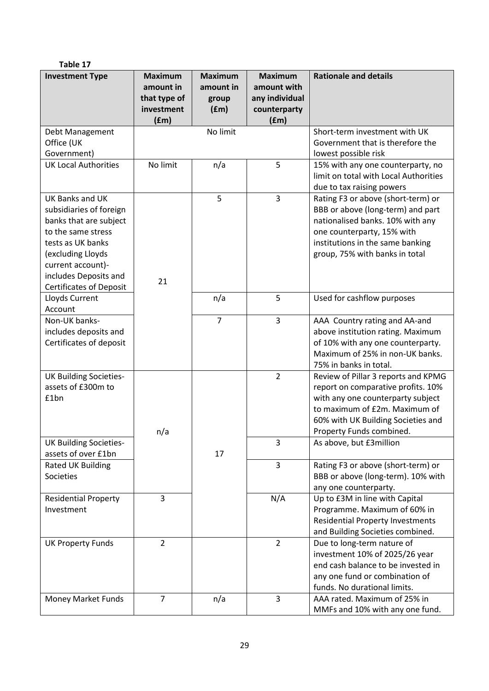| Table 17                                                                                                                                                                                                             |                                                                   |                                              |                                                                         |                                                                                                                                                                                                                   |
|----------------------------------------------------------------------------------------------------------------------------------------------------------------------------------------------------------------------|-------------------------------------------------------------------|----------------------------------------------|-------------------------------------------------------------------------|-------------------------------------------------------------------------------------------------------------------------------------------------------------------------------------------------------------------|
| <b>Investment Type</b>                                                                                                                                                                                               | <b>Maximum</b><br>amount in<br>that type of<br>investment<br>(fm) | <b>Maximum</b><br>amount in<br>group<br>(fm) | <b>Maximum</b><br>amount with<br>any individual<br>counterparty<br>(fm) | <b>Rationale and details</b>                                                                                                                                                                                      |
| Debt Management<br>Office (UK<br>Government)                                                                                                                                                                         |                                                                   | No limit                                     |                                                                         | Short-term investment with UK<br>Government that is therefore the<br>lowest possible risk                                                                                                                         |
| <b>UK Local Authorities</b>                                                                                                                                                                                          | No limit                                                          | n/a                                          | 5                                                                       | 15% with any one counterparty, no<br>limit on total with Local Authorities<br>due to tax raising powers                                                                                                           |
| UK Banks and UK<br>subsidiaries of foreign<br>banks that are subject<br>to the same stress<br>tests as UK banks<br>(excluding Lloyds<br>current account)-<br>includes Deposits and<br><b>Certificates of Deposit</b> | 21                                                                | 5                                            | 3                                                                       | Rating F3 or above (short-term) or<br>BBB or above (long-term) and part<br>nationalised banks. 10% with any<br>one counterparty, 15% with<br>institutions in the same banking<br>group, 75% with banks in total   |
| Lloyds Current<br>Account                                                                                                                                                                                            |                                                                   | n/a                                          | 5                                                                       | Used for cashflow purposes                                                                                                                                                                                        |
| Non-UK banks-<br>includes deposits and<br>Certificates of deposit                                                                                                                                                    |                                                                   | $\overline{7}$                               | $\overline{3}$                                                          | AAA Country rating and AA-and<br>above institution rating. Maximum<br>of 10% with any one counterparty.<br>Maximum of 25% in non-UK banks.<br>75% in banks in total.                                              |
| <b>UK Building Societies-</b><br>assets of £300m to<br>£1bn                                                                                                                                                          | n/a                                                               |                                              | $\overline{2}$                                                          | Review of Pillar 3 reports and KPMG<br>report on comparative profits. 10%<br>with any one counterparty subject<br>to maximum of £2m. Maximum of<br>60% with UK Building Societies and<br>Property Funds combined. |
| <b>UK Building Societies-</b><br>assets of over £1bn                                                                                                                                                                 |                                                                   | 17                                           | 3                                                                       | As above, but £3million                                                                                                                                                                                           |
| <b>Rated UK Building</b><br>Societies                                                                                                                                                                                |                                                                   |                                              | 3                                                                       | Rating F3 or above (short-term) or<br>BBB or above (long-term). 10% with<br>any one counterparty.                                                                                                                 |
| <b>Residential Property</b><br>Investment                                                                                                                                                                            | 3                                                                 |                                              | N/A                                                                     | Up to £3M in line with Capital<br>Programme. Maximum of 60% in<br><b>Residential Property Investments</b><br>and Building Societies combined.                                                                     |
| <b>UK Property Funds</b>                                                                                                                                                                                             | $\overline{2}$                                                    |                                              | $\overline{2}$                                                          | Due to long-term nature of<br>investment 10% of 2025/26 year<br>end cash balance to be invested in<br>any one fund or combination of<br>funds. No durational limits.                                              |
| Money Market Funds                                                                                                                                                                                                   | $\overline{7}$                                                    | n/a                                          | 3                                                                       | AAA rated. Maximum of 25% in<br>MMFs and 10% with any one fund.                                                                                                                                                   |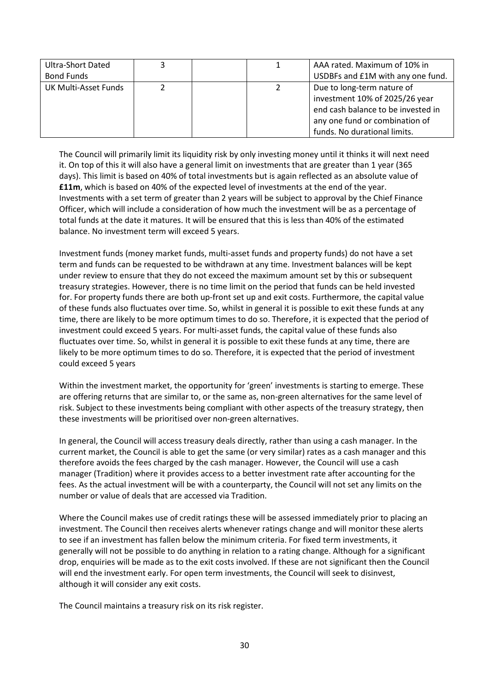| Ultra-Short Dated    |  | AAA rated. Maximum of 10% in                                                                                                         |
|----------------------|--|--------------------------------------------------------------------------------------------------------------------------------------|
| <b>Bond Funds</b>    |  | USDBFs and £1M with any one fund.                                                                                                    |
| UK Multi-Asset Funds |  | Due to long-term nature of<br>investment 10% of 2025/26 year<br>end cash balance to be invested in<br>any one fund or combination of |
|                      |  | funds. No durational limits.                                                                                                         |

The Council will primarily limit its liquidity risk by only investing money until it thinks it will next need it. On top of this it will also have a general limit on investments that are greater than 1 year (365 days). This limit is based on 40% of total investments but is again reflected as an absolute value of **£11m**, which is based on 40% of the expected level of investments at the end of the year. Investments with a set term of greater than 2 years will be subject to approval by the Chief Finance Officer, which will include a consideration of how much the investment will be as a percentage of total funds at the date it matures. It will be ensured that this is less than 40% of the estimated balance. No investment term will exceed 5 years.

Investment funds (money market funds, multi-asset funds and property funds) do not have a set term and funds can be requested to be withdrawn at any time. Investment balances will be kept under review to ensure that they do not exceed the maximum amount set by this or subsequent treasury strategies. However, there is no time limit on the period that funds can be held invested for. For property funds there are both up-front set up and exit costs. Furthermore, the capital value of these funds also fluctuates over time. So, whilst in general it is possible to exit these funds at any time, there are likely to be more optimum times to do so. Therefore, it is expected that the period of investment could exceed 5 years. For multi-asset funds, the capital value of these funds also fluctuates over time. So, whilst in general it is possible to exit these funds at any time, there are likely to be more optimum times to do so. Therefore, it is expected that the period of investment could exceed 5 years

Within the investment market, the opportunity for 'green' investments is starting to emerge. These are offering returns that are similar to, or the same as, non-green alternatives for the same level of risk. Subject to these investments being compliant with other aspects of the treasury strategy, then these investments will be prioritised over non-green alternatives.

In general, the Council will access treasury deals directly, rather than using a cash manager. In the current market, the Council is able to get the same (or very similar) rates as a cash manager and this therefore avoids the fees charged by the cash manager. However, the Council will use a cash manager (Tradition) where it provides access to a better investment rate after accounting for the fees. As the actual investment will be with a counterparty, the Council will not set any limits on the number or value of deals that are accessed via Tradition.

Where the Council makes use of credit ratings these will be assessed immediately prior to placing an investment. The Council then receives alerts whenever ratings change and will monitor these alerts to see if an investment has fallen below the minimum criteria. For fixed term investments, it generally will not be possible to do anything in relation to a rating change. Although for a significant drop, enquiries will be made as to the exit costs involved. If these are not significant then the Council will end the investment early. For open term investments, the Council will seek to disinvest, although it will consider any exit costs.

The Council maintains a treasury risk on its risk register.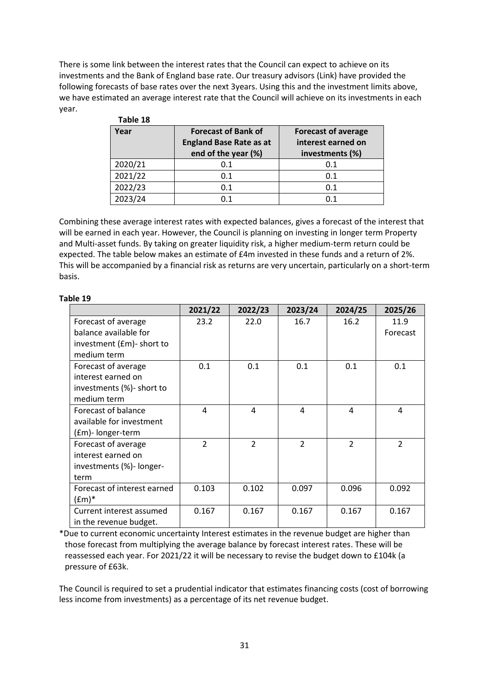There is some link between the interest rates that the Council can expect to achieve on its investments and the Bank of England base rate. Our treasury advisors (Link) have provided the following forecasts of base rates over the next 3years. Using this and the investment limits above, we have estimated an average interest rate that the Council will achieve on its investments in each year.

| Year    | <b>Forecast of Bank of</b><br><b>England Base Rate as at</b><br>end of the year (%) | <b>Forecast of average</b><br>interest earned on<br>investments (%) |
|---------|-------------------------------------------------------------------------------------|---------------------------------------------------------------------|
| 2020/21 | 0.1                                                                                 | 0.1                                                                 |
| 2021/22 | 0.1                                                                                 | 0.1                                                                 |
| 2022/23 | 0.1                                                                                 | 0.1                                                                 |
| 2023/24 | ი 1                                                                                 |                                                                     |

**Table 18**

Combining these average interest rates with expected balances, gives a forecast of the interest that will be earned in each year. However, the Council is planning on investing in longer term Property and Multi-asset funds. By taking on greater liquidity risk, a higher medium-term return could be expected. The table below makes an estimate of £4m invested in these funds and a return of 2%. This will be accompanied by a financial risk as returns are very uncertain, particularly on a short-term basis.

|                             | 2021/22        | 2022/23        | 2023/24                 | 2024/25        | 2025/26                 |
|-----------------------------|----------------|----------------|-------------------------|----------------|-------------------------|
| Forecast of average         | 23.2           | 22.0           | 16.7                    | 16.2           | 11.9                    |
| balance available for       |                |                |                         |                | Forecast                |
| investment (£m)- short to   |                |                |                         |                |                         |
| medium term                 |                |                |                         |                |                         |
| Forecast of average         | 0.1            | 0.1            | 0.1                     | 0.1            | 0.1                     |
| interest earned on          |                |                |                         |                |                         |
| investments (%)- short to   |                |                |                         |                |                         |
| medium term                 |                |                |                         |                |                         |
| Forecast of balance         | 4              | 4              | 4                       | 4              | 4                       |
| available for investment    |                |                |                         |                |                         |
| (£m)-longer-term            |                |                |                         |                |                         |
| Forecast of average         | $\overline{2}$ | $\overline{2}$ | $\overline{\mathbf{c}}$ | $\overline{2}$ | $\overline{\mathbf{c}}$ |
| interest earned on          |                |                |                         |                |                         |
| investments (%)- longer-    |                |                |                         |                |                         |
| term                        |                |                |                         |                |                         |
| Forecast of interest earned | 0.103          | 0.102          | 0.097                   | 0.096          | 0.092                   |
| $(fm)*$                     |                |                |                         |                |                         |
| Current interest assumed    | 0.167          | 0.167          | 0.167                   | 0.167          | 0.167                   |
| in the revenue budget.      |                |                |                         |                |                         |

#### **Table 19**

\*Due to current economic uncertainty Interest estimates in the revenue budget are higher than those forecast from multiplying the average balance by forecast interest rates. These will be reassessed each year. For 2021/22 it will be necessary to revise the budget down to £104k (a pressure of £63k.

The Council is required to set a prudential indicator that estimates financing costs (cost of borrowing less income from investments) as a percentage of its net revenue budget.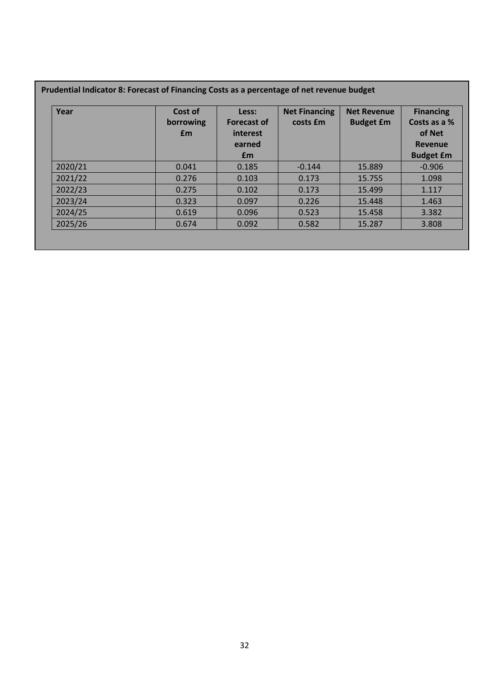# **Prudential Indicator 8: Forecast of Financing Costs as a percentage of net revenue budget**

| Year    | Cost of<br>borrowing<br>£m | Less:<br><b>Forecast of</b><br>interest<br>earned<br>£m | <b>Net Financing</b><br>costs £m | <b>Net Revenue</b><br><b>Budget £m</b> | <b>Financing</b><br>Costs as a %<br>of Net<br><b>Revenue</b><br><b>Budget £m</b> |
|---------|----------------------------|---------------------------------------------------------|----------------------------------|----------------------------------------|----------------------------------------------------------------------------------|
| 2020/21 | 0.041                      | 0.185                                                   | $-0.144$                         | 15.889                                 | $-0.906$                                                                         |
| 2021/22 | 0.276                      | 0.103                                                   | 0.173                            | 15.755                                 | 1.098                                                                            |
| 2022/23 | 0.275                      | 0.102                                                   | 0.173                            | 15.499                                 | 1.117                                                                            |
| 2023/24 | 0.323                      | 0.097                                                   | 0.226                            | 15.448                                 | 1.463                                                                            |
| 2024/25 | 0.619                      | 0.096                                                   | 0.523                            | 15.458                                 | 3.382                                                                            |
| 2025/26 | 0.674                      | 0.092                                                   | 0.582                            | 15.287                                 | 3.808                                                                            |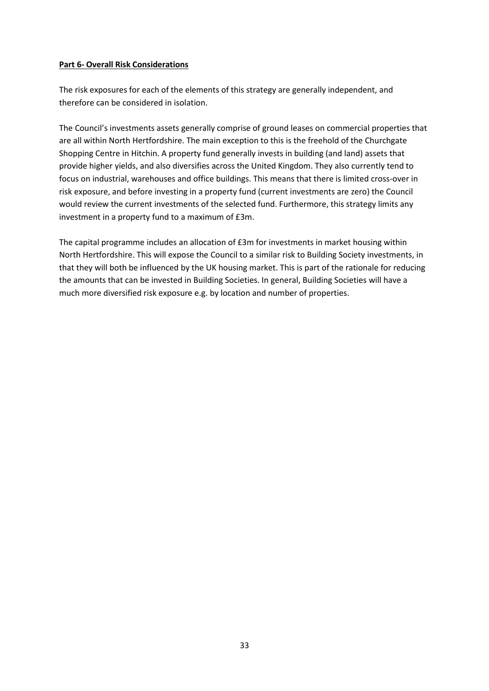# **Part 6- Overall Risk Considerations**

The risk exposures for each of the elements of this strategy are generally independent, and therefore can be considered in isolation.

The Council's investments assets generally comprise of ground leases on commercial properties that are all within North Hertfordshire. The main exception to this is the freehold of the Churchgate Shopping Centre in Hitchin. A property fund generally invests in building (and land) assets that provide higher yields, and also diversifies across the United Kingdom. They also currently tend to focus on industrial, warehouses and office buildings. This means that there is limited cross-over in risk exposure, and before investing in a property fund (current investments are zero) the Council would review the current investments of the selected fund. Furthermore, this strategy limits any investment in a property fund to a maximum of £3m.

The capital programme includes an allocation of £3m for investments in market housing within North Hertfordshire. This will expose the Council to a similar risk to Building Society investments, in that they will both be influenced by the UK housing market. This is part of the rationale for reducing the amounts that can be invested in Building Societies. In general, Building Societies will have a much more diversified risk exposure e.g. by location and number of properties.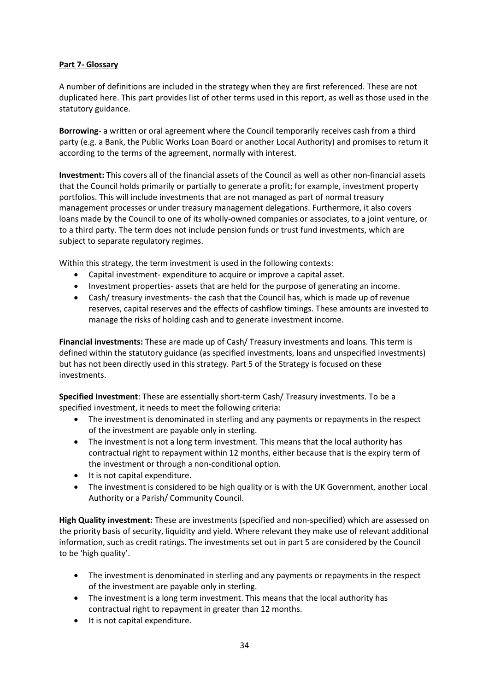# **Part 7- Glossary**

A number of definitions are included in the strategy when they are first referenced. These are not duplicated here. This part provides list of other terms used in this report, as well as those used in the statutory guidance.

**Borrowing**- a written or oral agreement where the Council temporarily receives cash from a third party (e.g. a Bank, the Public Works Loan Board or another Local Authority) and promises to return it according to the terms of the agreement, normally with interest.

**Investment:** This covers all of the financial assets of the Council as well as other non-financial assets that the Council holds primarily or partially to generate a profit; for example, investment property portfolios. This will include investments that are not managed as part of normal treasury management processes or under treasury management delegations. Furthermore, it also covers loans made by the Council to one of its wholly-owned companies or associates, to a joint venture, or to a third party. The term does not include pension funds or trust fund investments, which are subject to separate regulatory regimes.

Within this strategy, the term investment is used in the following contexts:

- Capital investment- expenditure to acquire or improve a capital asset.
- Investment properties- assets that are held for the purpose of generating an income.
- Cash/ treasury investments- the cash that the Council has, which is made up of revenue reserves, capital reserves and the effects of cashflow timings. These amounts are invested to manage the risks of holding cash and to generate investment income.

**Financial investments:** These are made up of Cash/ Treasury investments and loans. This term is defined within the statutory guidance (as specified investments, loans and unspecified investments) but has not been directly used in this strategy. Part 5 of the Strategy is focused on these investments.

**Specified Investment**: These are essentially short-term Cash/ Treasury investments. To be a specified investment, it needs to meet the following criteria:

- The investment is denominated in sterling and any payments or repayments in the respect of the investment are payable only in sterling.
- The investment is not a long term investment. This means that the local authority has contractual right to repayment within 12 months, either because that is the expiry term of the investment or through a non-conditional option.
- It is not capital expenditure.
- The investment is considered to be high quality or is with the UK Government, another Local Authority or a Parish/ Community Council.

**High Quality investment:** These are investments (specified and non-specified) which are assessed on the priority basis of security, liquidity and yield. Where relevant they make use of relevant additional information, such as credit ratings. The investments set out in part 5 are considered by the Council to be 'high quality'.

- The investment is denominated in sterling and any payments or repayments in the respect of the investment are payable only in sterling.
- The investment is a long term investment. This means that the local authority has contractual right to repayment in greater than 12 months.
- It is not capital expenditure.